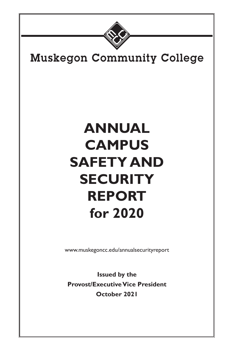

# **Muskegon Community College**

# **ANNUAL CAMPUS SAFETY AND SECURITY REPORT for 2020**

www.muskegoncc.edu/annualsecurityreport

**Issued by the Provost/Executive Vice President October 2021**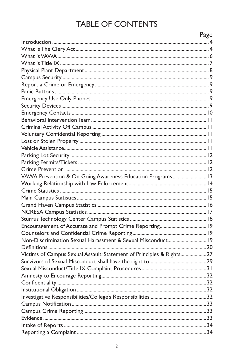# **TABLE OF CONTENTS**

|                                                                      | Page |
|----------------------------------------------------------------------|------|
|                                                                      |      |
|                                                                      |      |
|                                                                      |      |
|                                                                      |      |
|                                                                      |      |
|                                                                      |      |
|                                                                      |      |
|                                                                      |      |
|                                                                      |      |
|                                                                      |      |
|                                                                      |      |
|                                                                      |      |
|                                                                      |      |
|                                                                      |      |
|                                                                      |      |
|                                                                      |      |
|                                                                      |      |
|                                                                      |      |
|                                                                      |      |
| VAWA Prevention & On Going Awareness Education Programs 13           |      |
|                                                                      |      |
|                                                                      |      |
|                                                                      |      |
|                                                                      |      |
|                                                                      |      |
|                                                                      |      |
|                                                                      |      |
|                                                                      |      |
| Non-Discrimination Sexual Harassment & Sexual Misconduct 19          |      |
|                                                                      |      |
| Victims of Campus Sexual Assault: Statement of Principles & Rights27 |      |
|                                                                      |      |
|                                                                      |      |
|                                                                      |      |
|                                                                      |      |
|                                                                      |      |
|                                                                      |      |
|                                                                      |      |
|                                                                      |      |
|                                                                      |      |
|                                                                      |      |
|                                                                      |      |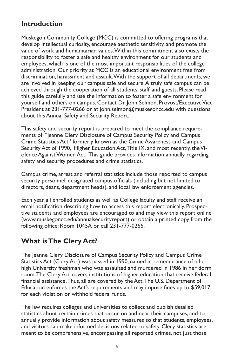### **Introduction**

Muskegon Community College (MCC) is committed to offering programs that develop intellectual curiosity, encourage aesthetic sensitivity, and promote the value of work and humanitarian values. Within this commitment also exists the responsibility to foster a safe and healthy environment for our students and employees, which is one of the most important responsibilities of the college administration. Our priority at MCC is an educational environment free from discrimination, harassment and assault. With the support of all departments, we are involved in keeping our campus safe and secure. A truly safe campus can be achieved through the cooperation of all students, staff, and guests. Please read this guide carefully and use the information to foster a safe environment for yourself and others on campus. Contact Dr. John Selmon, Provost/Executive Vice President at 231-777-0266 or at john.selmon@muskegoncc.edu with questions about this Annual Safety and Security Report.

This safety and security report is prepared to meet the compliance requirements of "Jeanne Clery Disclosure of Campus Security Policy and Campus Crime Statistics Act" formerly known as the Crime Awareness and Campus Security Act of 1990, Higher Education Act, Title IX, and most recently, the Violence Against Women Act. This guide provides information annually regarding safety and security procedures and crime statistics.

Campus crime, arrest and referral statistics include those reported to campus security personnel, designated campus officials (including but not limited to directors, deans, department heads), and local law enforcement agencies.

Each year, all enrolled students as well as College faculty and staff receive an email notification describing how to access this report electronically. Prospective students and employees are encouraged to and may view this report online (www.muskegoncc.edu/annualsecurityreport) or obtain a printed copy from the following office: Room 1045A or call 231-777-0266.

# **What is The Clery Act?**

The Jeanne Clery Disclosure of Campus Security Policy and Campus Crime Statistics Act (Clery Act) was passed in 1990, named in remembrance of a Lehigh University freshman who was assaulted and murdered in 1986 in her dorm room. The Clery Act covers institutions of higher education that receive federal financial assistance. Thus, all are covered by the Act. The U.S. Department of Education enforces the Act's requirements and may impose fines up to \$59,017 for each violation or withhold federal funds.

The law requires colleges and universities to collect and publish detailed statistics about certain crimes that occur on and near their campuses, and to annually provide information about safety measures so that students, employees, and visitors can make informed decisions related to safety. Clery statistics are meant to be comprehensive, encompassing all reported crimes, not just those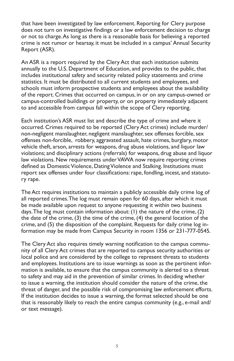that have been investigated by law enforcement. Reporting for Clery purpose does not turn on investigative findings or a law enforcement decision to charge or not to charge. As long as there is a reasonable basis for believing a reported crime is not rumor or hearsay, it must be included in a campus' Annual Security Report (ASR).

An ASR is a report required by the Clery Act that each institution submits annually to the U.S. Department of Education, and provides to the public, that includes institutional safety and security related policy statements and crime statistics. It must be distributed to all current students and employees, and schools must inform prospective students and employees about the availability of the report. Crimes that occurred on campus, in or on any campus-owned or campus-controlled buildings or property, or on property immediately adjacent to and accessible from campus fall within the scope of Clery reporting.

Each institution's ASR must list and describe the type of crime and where it occurred. Crimes required to be reported (Clery Act crimes) include murder/ non-negligent manslaughter, negligent manslaughter, sex offenses forcible, sex offenses non-forcible, robbery, aggravated assault, hate crimes, burglary, motor vehicle theft, arson, arrests for weapons, drug abuse violations, and liquor law violations; and disciplinary actions (referrals) for weapons, drug abuse and liquor law violations. New requirements under VAWA now require reporting crimes defined as Domestic Violence, Dating Violence and Stalking. Institutions must report sex offenses under four classifications: rape, fondling, incest, and statutory rape.

The Act requires institutions to maintain a publicly accessible daily crime log of all reported crimes. The log must remain open for 60 days, after which it must be made available upon request to anyone requesting it within two business days. The log must contain information about: (1) the nature of the crime, (2) the date of the crime, (3) the time of the crime, (4) the general location of the crime, and (5) the disposition of the complaint. Requests for daily crime log information may be made from Campus Security in room 1356 or 231-777-0545.

The Clery Act also requires timely warning notification to the campus community of all Clery Act crimes that are reported to campus security authorities or local police and are considered by the college to represent threats to students and employees. Institutions are to issue warnings as soon as the pertinent information is available, to ensure that the campus community is alerted to a threat to safety and may aid in the prevention of similar crimes. In deciding whether to issue a warning, the institution should consider the nature of the crime, the threat of danger, and the possible risk of compromising law enforcement efforts. If the institution decides to issue a warning, the format selected should be one that is reasonably likely to reach the entire campus community (e.g., e-mail and/ or text message).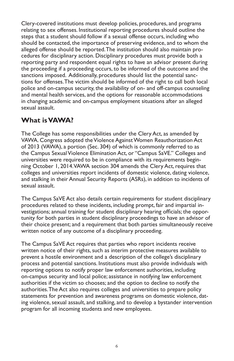Clery-covered institutions must develop policies, procedures, and programs relating to sex offenses. Institutional reporting procedures should outline the steps that a student should follow if a sexual offense occurs, including who should be contacted, the importance of preserving evidence, and to whom the alleged offense should be reported. The institution should also maintain procedures for disciplinary action. Disciplinary procedures must provide both a reporting party and respondent equal rights to have an advisor present during the proceeding if a proceeding occurs, to be informed of the outcome and the sanctions imposed. Additionally, procedures should list the potential sanctions for offenses. The victim should be informed of the right to call both local police and on-campus security, the availability of on- and off-campus counseling and mental health services, and the options for reasonable accommodations in changing academic and on-campus employment situations after an alleged sexual assault.

### **What is VAWA?**

The College has some responsibilities under the Clery Act, as amended by VAWA. Congress adopted the Violence Against Women Reauthorization Act of 2013 (VAWA), a portion (Sec. 304) of which is commonly referred to as the Campus Sexual Violence Elimination Act, or "Campus SaVE." Colleges and universities were required to be in compliance with its requirements beginning October 1, 2014. VAWA section 304 amends the Clery Act, requires that colleges and universities report incidents of domestic violence, dating violence, and stalking in their Annual Security Reports (ASRs), in addition to incidents of sexual assault.

The Campus SaVE Act also details certain requirements for student disciplinary procedures related to these incidents, including prompt, fair and impartial investigations; annual training for student disciplinary hearing officials; the opportunity for both parties in student disciplinary proceedings to have an advisor of their choice present; and a requirement that both parties simultaneously receive written notice of any outcome of a disciplinary proceeding.

The Campus SaVE Act requires that parties who report incidents receive written notice of their rights, such as interim protective measures available to prevent a hostile environment and a description of the college's disciplinary process and potential sanctions. Institutions must also provide individuals with reporting options to notify proper law enforcement authorities, including on-campus security and local police; assistance in notifying law enforcement authorities if the victim so chooses; and the option to decline to notify the authorities. The Act also requires colleges and universities to prepare policy statements for prevention and awareness programs on domestic violence, dating violence, sexual assault, and stalking, and to develop a bystander intervention program for all incoming students and new employees.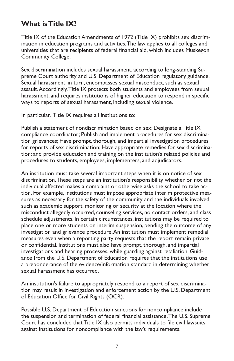### **What is Title IX?**

Title IX of the Education Amendments of 1972 (Title IX) prohibits sex discrimination in education programs and activities. The law applies to all colleges and universities that are recipients of federal financial aid, which includes Muskegon Community College.

Sex discrimination includes sexual harassment, according to long-standing Supreme Court authority and U.S. Department of Education regulatory guidance. Sexual harassment, in turn, encompasses sexual misconduct, such as sexual assault. Accordingly, Title IX protects both students and employees from sexual harassment, and requires institutions of higher education to respond in specific ways to reports of sexual harassment, including sexual violence.

In particular, Title IX requires all institutions to:

Publish a statement of nondiscrimination based on sex; Designate a Title IX compliance coordinator; Publish and implement procedures for sex discrimination grievances; Have prompt, thorough, and impartial investigation procedures for reports of sex discrimination; Have appropriate remedies for sex discrimination; and provide education and training on the institution's related policies and procedures to students, employees, implementers, and adjudicators.

An institution must take several important steps when it is on notice of sex discrimination. These steps are an institution's responsibility whether or not the individual affected makes a complaint or otherwise asks the school to take action. For example, institutions must impose appropriate interim protective measures as necessary for the safety of the community and the individuals involved, such as academic support, monitoring or security at the location where the misconduct allegedly occurred, counseling services, no contact orders, and class schedule adjustments. In certain circumstances, institutions may be required to place one or more students on interim suspension, pending the outcome of any investigation and grievance procedure. An institution must implement remedial measures even when a reporting party requests that the report remain private or confidential. Institutions must also have prompt, thorough, and impartial investigations and hearing processes, while guarding against retaliation. Guidance from the U.S. Department of Education requires that the institutions use a preponderance of the evidence/information standard in determining whether sexual harassment has occurred.

An institution's failure to appropriately respond to a report of sex discrimination may result in investigation and enforcement action by the U.S. Department of Education Office for Civil Rights (OCR).

Possible U.S. Department of Education sanctions for noncompliance include the suspension and termination of federal financial assistance. The U.S. Supreme Court has concluded that Title IX also permits individuals to file civil lawsuits against institutions for noncompliance with the law's requirements.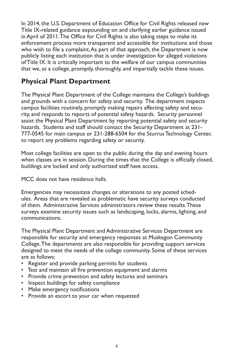In 2014, the U.S. Department of Education Office for Civil Rights released new Title IX-related guidance expounding on and clarifying earlier guidance issued in April of 2011. The Office for Civil Rights is also taking steps to make its enforcement process more transparent and accessible for institutions and those who wish to file a complaint. As part of that approach, the Department is now publicly listing each institution that is under investigation for alleged violations of Title IX. It is critically important to the welfare of our campus communities that we, as a college, promptly, thoroughly, and impartially tackle these issues.

### **Physical Plant Department**

The Physical Plant Department of the College maintains the College's buildings and grounds with a concern for safety and security. The department inspects campus facilities routinely, promptly making repairs affecting safety and security, and responds to reports of potential safety hazards. Security personnel assist the Physical Plant Department by reporting potential safety and security hazards. Students and staff should contact the Security Department at 231- 777-0545 for main campus or 231-288-6504 for the Sturrus Technology Center, to report any problems regarding safety or security.

Most college facilities are open to the public during the day and evening hours when classes are in session. During the times that the College is officially closed, buildings are locked and only authorized staff have access.

MCC does not have residence halls.

Emergencies may necessitate changes or alterations to any posted schedules. Areas that are revealed as problematic have security surveys conducted of them. Administrative Services administrators review these results. These surveys examine security issues such as landscaping, locks, alarms, lighting, and communications.

The Physical Plant Department and Administrative Services Department are responsible for security and emergency responses at Muskegon Community College. The departments are also responsible for providing support services designed to meet the needs of the college community. Some of these services are as follows:

- Register and provide parking permits for students
- Test and maintain all fire prevention equipment and alarms
- Provide crime prevention and safety lectures and seminars
- Inspect buildings for safety compliance
- Make emergency notifications
- Provide an escort to your car when requested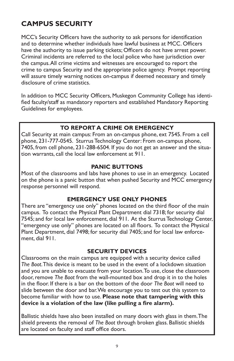# **CAMPUS SECURITY**

MCC's Security Officers have the authority to ask persons for identification and to determine whether individuals have lawful business at MCC. Officers have the authority to issue parking tickets; Officers do not have arrest power. Criminal incidents are referred to the local police who have jurisdiction over the campus. All crime victims and witnesses are encouraged to report the crime to campus Security and the appropriate police agency. Prompt reporting will assure timely warning notices on-campus if deemed necessary and timely disclosure of crime statistics.

In addition to MCC Security Officers, Muskegon Community College has identified faculty/staff as mandatory reporters and established Mandatory Reporting Guidelines for employees.

#### **TO REPORT A CRIME OR EMERGENCY**

Call Security at main campus: From an on-campus phone, ext 7545. From a cell phone, 231-777-0545. Sturrus Technology Center: From on-campus phone, 7405, from cell phone, 231-288-6504. If you do not get an answer and the situation warrants, call the local law enforcement at 911.

#### **PANIC BUTTONS**

Most of the classrooms and labs have phones to use in an emergency. Located on the phone is a panic button that when pushed Security and MCC emergency response personnel will respond.

#### **EMERGENCY USE ONLY PHONES**

There are "emergency use only" phones located on the third floor of the main campus. To contact the Physical Plant Department dial 7318; for security dial 7545; and for local law enforcement, dial 911. At the Sturrus Technology Center, "emergency use only" phones are located on all floors. To contact the Physical Plant Department, dial 7498; for security dial 7405; and for local law enforcement, dial 911.

#### **SECURITY DEVICES**

Classrooms on the main campus are equipped with a security device called *The Boot*. This device is meant to be used in the event of a lockdown situation and you are unable to evacuate from your location. To use, close the classroom door, remove *The Boot* from the wall-mounted box and drop it in to the holes in the floor. If there is a bar on the bottom of the door *The Boot* will need to slide between the door and bar. We encourage you to test out this system to become familiar with how to use. **Please note that tampering with this device is a violation of the law (like pulling a fire alarm).**

Ballistic shields have also been installed on many doors with glass in them. The shield prevents the removal of *The Boot* through broken glass. Ballistic shields are located on faculty and staff office doors.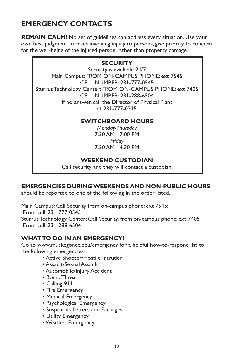# **EMERGENCY CONTACTS**

REMAIN CALM! No set of guidelines can address every situation. Use your own best judgment. In cases involving injury to persons, give priority to concern for the well-being of the injured person rather than property damage.

#### **SECURITY**

Security is available 24/7 Main Campus: FROM ON-CAMPUS PHONE: ext 7545 CELL NUMBER: 231-777-0545 Sturrus Technology Center: FROM ON-CAMPUS PHONE: ext 7405 CELL NUMBER: 231-288-6504 If no answer, call the Director of Physical Plant at 231-777-0315

### **SWITCHBOARD HOURS**

*Monday-Thursday* 7:30 AM - 7:00 PM *Friday* 7:30 AM - 4:30 PM

### **WEEKEND CUSTODIAN**

Call security and they will contact a custodian.

### **EMERGENCIES DURING WEEKENDS AND NON-PUBLIC HOURS**

should be reported to one of the following in the order listed.

Main Campus: Call Security from on-campus phone: ext 7545; From cell: 231-777-0545 Sturrus Technology Center: Call Security: from on-campus phone: ext 7405 From cell: 231-288-6504

### **WHAT TO DO IN AN EMERGENCY?**

Go to www.muskegoncc.edu/emergency for a helpful how-to-respond list to the following emergencies:

- Active Shooter/Hostile Intruder
- Assault/Sexual Assault
- Automobile/Injury Accident
- Bomb Threat
- Calling 911
- Fire Emergency
- Medical Emergency
- Psychological Emergency
- Suspicious Letters and Packages
- Utility Emergency
- Weather Emergency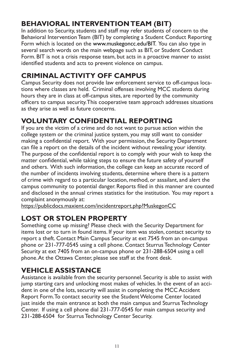# **BEHAVIORAL INTERVENTION TEAM (BIT)**

In addition to Security, students and staff may refer students of concern to the Behavioral Intervention Team (BIT) by completing a Student Conduct Reporting Form which is located on the www.muskegoncc.edu/BIT. You can also type in several search words on the main webpage such as BIT, or Student Conduct Form. BIT is not a crisis response team, but acts in a proactive manner to assist identified students and acts to prevent violence on campus.

# **CRIMINAL ACTIVITY OFF CAMPUS**

Campus Security does not provide law enforcement service to off-campus locations where classes are held. Criminal offenses involving MCC students during hours they are in class at off-campus sites, are reported by the community officers to campus security. This cooperative team approach addresses situations as they arise as well as future concerns.

# **VOLUNTARY CONFIDENTIAL REPORTING**

If you are the victim of a crime and do not want to pursue action within the college system or the criminal justice system, you may still want to consider making a confidential report. With your permission, the Security Department can file a report on the details of the incident without revealing your identity. The purpose of the confidential report is to comply with your wish to keep the matter confidential, while taking steps to ensure the future safety of yourself and others. With such information, the college can keep an accurate record of the number of incidents involving students, determine where there is a pattern of crime with regard to a particular location, method, or assailant, and alert the campus community to potential danger. Reports filed in this manner are counted and disclosed in the annual crimes statistics for the institution. You may report a complaint anonymously at:

https://publicdocs.maxient.com/incidentreport.php?MuskegonCC

# **LOST OR STOLEN PROPERTY**

Something come up missing? Please check with the Security Department for items lost or to turn in found items. If your item was stolen, contact security to report a theft. Contact Main Campus Security at ext 7545 from an on-campus phone or 231-777-0545 using a cell phone. Contact Sturrus Technology Center Security at ext 7405 from an on-campus phone or 231-288-6504 using a cell phone. At the Ottawa Center, please see staff at the front desk.

# **VEHICLE ASSISTANCE**

Assistance is available from the security personnel. Security is able to assist with jump starting cars and unlocking most makes of vehicles. In the event of an accident in one of the lots, security will assist in completing the MCC Accident Report Form. To contact security see the Student Welcome Center located just inside the main entrance at both the main campus and Sturrus Technology Center. If using a cell phone dial 231-777-0545 for main campus security and 231-288-6504 for Sturrus Technology Center Security.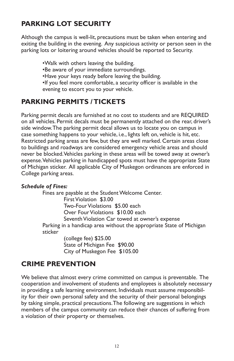# **PARKING LOT SECURITY**

Although the campus is well-lit, precautions must be taken when entering and exiting the building in the evening. Any suspicious activity or person seen in the parking lots or loitering around vehicles should be reported to Security.

•Walk with others leaving the building.

•Be aware of your immediate surroundings.

•Have your keys ready before leaving the building.

•If you feel more comfortable, a security officer is available in the evening to escort you to your vehicle.

### **PARKING PERMITS / TICKETS**

Parking permit decals are furnished at no cost to students and are REQUIRED on all vehicles. Permit decals must be permanently attached on the rear, driver's side window. The parking permit decal allows us to locate you on campus in case something happens to your vehicle, i.e., lights left on, vehicle is hit, etc. Restricted parking areas are few, but they are well marked. Certain areas close to buildings and roadways are considered emergency vehicle areas and should never be blocked. Vehicles parking in these areas will be towed away at owner's expense. Vehicles parking in handicapped spots must have the appropriate State of Michigan sticker. All applicable City of Muskegon ordinances are enforced in College parking areas.

#### *Schedule of Fines:*

Fines are payable at the Student Welcome Center. First Violation \$3.00 Two-Four Violations \$5.00 each Over Four Violations \$10.00 each Seventh Violation Car towed at owner's expense Parking in a handicap area without the appropriate State of Michigan sticker (college fee) \$25.00

State of Michigan Fee \$90.00 City of Muskegon Fee \$105.00

### **CRIME PREVENTION**

We believe that almost every crime committed on campus is preventable. The cooperation and involvement of students and employees is absolutely necessary in providing a safe learning environment. Individuals must assume responsibility for their own personal safety and the security of their personal belongings by taking simple, practical precautions. The following are suggestions in which members of the campus community can reduce their chances of suffering from a violation of their property or themselves.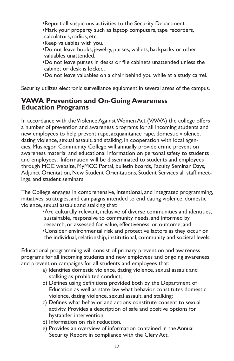- **•**Report all suspicious activities to the Security Department
- **•**Mark your property such as laptop computers, tape recorders, calculators, radios, etc.
- **•**Keep valuables with you.
- **•**Do not leave books, jewelry, purses, wallets, backpacks or other valuables unattended.
- **•**Do not leave purses in desks or file cabinets unattended unless the cabinet or desk is locked.
- **•**Do not leave valuables on a chair behind you while at a study carrel.

Security utilizes electronic surveillance equipment in several areas of the campus.

#### **VAWA Prevention and On-Going Awareness Education Programs**

In accordance with the Violence Against Women Act (VAWA) the college offers a number of prevention and awareness programs for all incoming students and new employees to help prevent rape, acquaintance rape, domestic violence, dating violence, sexual assault, and stalking. In cooperation with local agencies, Muskegon Community College will annually provide crime prevention awareness material and educational information on personal safety to students and employees. Information will be disseminated to students and employees through MCC website, MyMCC Portal, bulletin boards, Faculty Seminar Days, Adjunct Orientation, New Student Orientations, Student Services all staff meetings, and student seminars.

The College engages in comprehensive, intentional, and integrated programming, initiatives, strategies, and campaigns intended to end dating violence, domestic violence, sexual assault and stalking that:

•Are culturally relevant, inclusive of diverse communities and identities, sustainable, responsive to community needs, and informed by research, or assessed for value, effectiveness, or outcome; and •Consider environmental risk and protective factors as they occur on the individual, relationship, institutional, community and societal levels.

Educational programming will consist of primary prevention and awareness programs for all incoming students and new employees and ongoing awareness and prevention campaigns for all students and employees that:

- a) Identifies domestic violence, dating violence, sexual assault and stalking as prohibited conduct;
- b) Defines using definitions provided both by the Department of Education as well as state law what behavior constitutes domestic violence, dating violence, sexual assault, and stalking;
- c) Defines what behavior and actions constitute consent to sexual activity. Provides a description of safe and positive options for bystander intervention.
- d) Information on risk reduction.
- e) Provides an overview of information contained in the Annual Security Report in compliance with the Clery Act.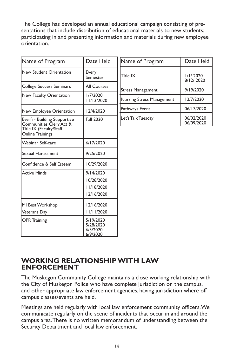The College has developed an annual educational campaign consisting of presentations that include distribution of educational materials to new students; participating in and presenting information and materials during new employee orientation.

| Name of Program                                                                                        | Date Held                                           | Name of Program           | Date Held                |
|--------------------------------------------------------------------------------------------------------|-----------------------------------------------------|---------------------------|--------------------------|
| New Student Orientation                                                                                | Every<br>Semester                                   | Title IX                  | 1/1/2020<br>8/12/2020    |
| College Success Seminars                                                                               | All Courses                                         | Stress Managament         | 9/19/2020                |
| New Faculty Orientation                                                                                | 1/7/2020<br>11/13/2020                              | Nursing Stress Management | 12/7/2020                |
| New Employee Orientation                                                                               | 12/4/2020                                           | Pathways Event            | 06/17/2020               |
| Everfi - Building Supportive<br>Communities Clery Act &<br>Title IX (Faculty/Staff<br>Online Training) | <b>Fall 2020</b>                                    | Let's Talk Tuesday        | 06/02/2020<br>06/09/2020 |
| <b>Webinar Self-care</b>                                                                               | 6/17/2020                                           |                           |                          |
| Sexual Harassment                                                                                      | 9/25/2020                                           |                           |                          |
| Confidence & Self Esteem                                                                               | 10/29/2020                                          |                           |                          |
| <b>Active Minds</b>                                                                                    | 9/14/2020<br>10/28/2020<br>11/18/2020<br>12/16/2020 |                           |                          |
| MI Best Workshop                                                                                       | 12/16/2020                                          |                           |                          |
| Veterans Day                                                                                           | 11/11/2020                                          |                           |                          |
| <b>QPR Training</b>                                                                                    | 5/19/2020<br>5/28/2020<br>6/3/2020<br>6/9/2020      |                           |                          |

### **WORKING RELATIONSHIP WITH LAW ENFORCEMENT**

The Muskegon Community College maintains a close working relationship with the City of Muskegon Police who have complete jurisdiction on the campus, and other appropriate law enforcement agencies, having jurisdiction where off campus classes/events are held.

Meetings are held regularly with local law enforcement community officers. We communicate regularly on the scene of incidents that occur in and around the campus area. There is no written memorandum of understanding between the Security Department and local law enforcement.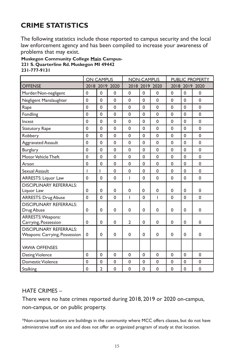# **CRIME STATISTICS**

The following statistics include those reported to campus security and the local law enforcement agency and has been compiled to increase your awareness of problems that may exist.

**Muskegon Community College Main Campus-221 S. Quarterline Rd. Muskegon MI 49442 231-777-9131**

|                                                                 | <b>ON CAMPUS</b> |                |                | <b>NON-CAMPUS</b> |              |                | <b>PUBLIC PROPERTY</b> |              |                |
|-----------------------------------------------------------------|------------------|----------------|----------------|-------------------|--------------|----------------|------------------------|--------------|----------------|
| <b>OFFENSE</b>                                                  |                  |                | 2018 2019 2020 |                   |              | 2018 2019 2020 |                        |              | 2018 2019 2020 |
| Murder/Non-negligent                                            | $\mathbf 0$      | 0              | 0              | $\mathbf 0$       | $\mathbf 0$  | $\mathbf 0$    | $\mathbf 0$            | $\mathbf 0$  | $\mathbf 0$    |
| Negligent Manslaughter                                          | $\mathbf{0}$     | 0              | 0              | $\mathbf 0$       | 0            | 0              | $\mathbf 0$            | $\mathbf{0}$ | 0              |
| Rape                                                            | $\mathbf 0$      | $\mathbf 0$    | 0              | $\mathbf 0$       | $\mathbf 0$  | 0              | $\mathbf{0}$           | $\Omega$     | $\mathbf 0$    |
| Fondling                                                        | $\Omega$         | $\Omega$       | $\Omega$       | $\Omega$          | $\Omega$     | $\Omega$       | $\Omega$               | $\Omega$     | $\Omega$       |
| Incest                                                          | $\Omega$         | $\Omega$       | 0              | $\mathbf 0$       | $\Omega$     | $\Omega$       | $\mathbf{0}$           | $\Omega$     | $\mathbf 0$    |
| <b>Statutory Rape</b>                                           | $\mathbf{0}$     | $\mathbf 0$    | 0              | $\mathbf 0$       | $\mathbf 0$  | 0              | $\mathbf{0}$           | $\Omega$     | $\mathbf 0$    |
| Robbery                                                         | $\mathbf 0$      | $\Omega$       | 0              | $\mathbf 0$       | $\Omega$     | $\mathbf 0$    | $\Omega$               | $\Omega$     | $\Omega$       |
| Aggravated Assault                                              | $\mathbf{0}$     | $\Omega$       | 0              | $\mathbf 0$       | $\Omega$     | $\mathbf 0$    | $\mathbf{0}$           | $\Omega$     | $\mathbf 0$    |
| Burglary                                                        | $\mathbf{0}$     | $\mathbf 0$    | 0              | $\mathbf 0$       | $\mathbf 0$  | 0              | $\mathbf{0}$           | $\mathbf{0}$ | $\mathbf 0$    |
| Motor Vehicle Theft                                             | $\mathbf 0$      | $\mathbf 0$    | 0              | $\mathbf 0$       | $\mathbf{0}$ | $\mathbf 0$    | $\mathbf 0$            | $\mathbf 0$  | $\mathbf 0$    |
| Arson                                                           | $\mathbf 0$      | $\mathbf 0$    | 0              | $\mathbf 0$       | $\mathbf 0$  | $\mathbf 0$    | $\mathbf 0$            | $\mathbf 0$  | $\mathbf 0$    |
| Sexual Assault                                                  | I                | ı              | $\mathbf 0$    | 0                 | $\mathbf 0$  | $\mathbf 0$    | $\mathbf 0$            | $\mathbf 0$  | $\mathbf 0$    |
| <b>ARRESTS: Liquor Law</b>                                      | $\mathbf{0}$     | $\mathbf 0$    | 0              | ı                 | $\Omega$     | $\Omega$       | $\Omega$               | $\Omega$     | $\mathbf 0$    |
| <b>DISCIPLINARY REFERRALS:</b><br>Liquor Law                    | $\mathbf{0}$     | $\mathbf 0$    | 0              | 0                 | $\mathbf 0$  | $\mathbf 0$    | $\mathbf{0}$           | $\mathbf{0}$ | $\mathbf 0$    |
| <b>ARRESTS: Drug Abuse</b>                                      | $\Omega$         | $\Omega$       | $\Omega$       | T                 | $\Omega$     | T              | $\Omega$               | $\Omega$     | $\Omega$       |
| <b>DISCIPI INARY REFERRALS:</b><br>Drug Abuse                   | 0                | $\mathbf 0$    | 0              | $\mathbf 0$       | 0            | $\mathbf 0$    | $\mathbf{0}$           | $\mathbf{0}$ | 0              |
| ARRESTS: Weapons:<br>Carrying, Possession                       | $\mathbf 0$      | $\Omega$       | $\mathbf 0$    | $\mathfrak{p}$    | $\Omega$     | $\mathbf 0$    | $\mathbf{0}$           | $\Omega$     | $\Omega$       |
| <b>DISCIPLINARY REFERRALS:</b><br>Weapons: Carrying, Possession | $\mathbf 0$      | $\mathbf 0$    | 0              | $\mathbf 0$       | 0            | 0              | $\mathbf{0}$           | $\mathbf{0}$ | $\mathbf 0$    |
| <b>VAWA OFFENSES</b>                                            |                  |                |                |                   |              |                |                        |              |                |
| Dating Violence                                                 | $\mathbf{0}$     | $\mathbf 0$    | 0              | $\mathbf 0$       | $\mathbf 0$  | $\mathbf 0$    | $\mathbf{0}$           | $\mathbf{0}$ | $\mathbf 0$    |
| <b>Domestic Violence</b>                                        | $\mathbf{0}$     | 0              | 0              | 0                 | 0            | 0              | $\mathbf 0$            | $\mathbf 0$  | 0              |
| Stalking                                                        | 0                | $\overline{2}$ | 0              | 0                 | 0            | $\mathbf 0$    | $\mathbf 0$            | 0            | 0              |

#### HATE CRIMES –

There were no hate crimes reported during 2018, 2019 or 2020 on-campus, non-campus, or on public property.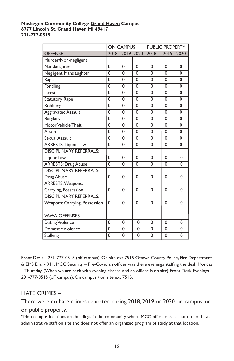#### **Muskegon Community College Grand Haven Campus-6777 Lincoln St. Grand Haven MI 49417 231-777-0515**

|                                 |                | <b>ON CAMPUS</b> |                | <b>PUBLIC PROPERTY</b> |                |                |
|---------------------------------|----------------|------------------|----------------|------------------------|----------------|----------------|
| <b>OFFENSE</b>                  | 2018           |                  | 2019 2020      | 2018                   | 2019           | 2020           |
| Murder/Non-negligent            |                |                  |                |                        |                |                |
| Manslaughter                    | $\Omega$       | 0                | 0              | $\Omega$               | $\Omega$       | 0              |
| Negligent Manslaughter          | $\Omega$       | $\Omega$         | $\Omega$       | $\Omega$               | $\Omega$       | $\Omega$       |
| Rape                            | $\mathbf 0$    | $\Omega$         | $\mathbf 0$    | $\mathbf 0$            | $\Omega$       | 0              |
| Fondling                        | $\mathbf 0$    | $\mathbf 0$      | $\mathbf 0$    | $\mathbf 0$            | $\mathbf 0$    | $\mathbf 0$    |
| Incest                          | $\Omega$       | $\Omega$         | $\Omega$       | 0                      | $\Omega$       | $\Omega$       |
| <b>Statutory Rape</b>           | $\Omega$       | $\Omega$         | $\mathbf 0$    | $\mathbf 0$            | $\Omega$       | $\Omega$       |
| Robbery                         | $\mathbf 0$    | $\overline{0}$   | $\mathbf 0$    | $\mathbf 0$            | $\mathbf 0$    | 0              |
| <b>Aggravated Assault</b>       | $\mathbf 0$    | $\mathbf 0$      | 0              | $\mathbf 0$            | 0              | 0              |
| Burglary                        | $\Omega$       | $\Omega$         | $\Omega$       | $\Omega$               | $\Omega$       | $\Omega$       |
| Motor Vehicle Theft             | $\mathbf 0$    | $\Omega$         | 0              | $\Omega$               | $\Omega$       | 0              |
| Arson                           | $\Omega$       | $\Omega$         | $\Omega$       | $\Omega$               | $\Omega$       | $\Omega$       |
| Sexual Assault                  | $\mathbf 0$    | $\Omega$         | $\Omega$       | $\mathbf 0$            | $\Omega$       | $\Omega$       |
| <b>ARRESTS: Liquor Law</b>      | $\overline{0}$ | $\overline{0}$   | $\overline{0}$ | $\overline{0}$         | $\overline{0}$ | $\overline{0}$ |
| <b>DISCIPLINARY REFERRALS:</b>  |                |                  |                |                        |                |                |
| Liquor Law                      | $\Omega$       | $\Omega$         | $\Omega$       | $\Omega$               | 0              | $\Omega$       |
| <b>ARRESTS: Drug Abuse</b>      | $\overline{0}$ | $\overline{0}$   | $\overline{0}$ | $\overline{0}$         | $\overline{0}$ | $\overline{0}$ |
| <b>DISCIPI INARY REFERRALS:</b> |                |                  |                |                        |                |                |
| Drug Abuse                      | 0              | 0                | 0              | 0                      | 0              | 0              |
| ARRESTS: Weapons:               |                |                  |                |                        |                |                |
| Carrying, Possession            | 0              | $\Omega$         | 0              | $\Omega$               | $\Omega$       | 0              |
| <b>DISCIPLINARY REFERRALS:</b>  |                |                  |                |                        |                |                |
| Weapons: Carrying, Possession   | 0              | $\Omega$         | $\Omega$       | 0                      | $\Omega$       | 0              |
| <b>VAWA OFFENSES</b>            |                |                  |                |                        |                |                |
| Dating Violence                 | 0              | 0                | 0              | 0                      | $\Omega$       | 0              |
| Domestic Violence               | 0              | $\Omega$         | $\mathbf 0$    | $\mathbf 0$            | $\Omega$       | 0              |
| <b>Stalking</b>                 | 0              | $\overline{0}$   | $\overline{0}$ | $\overline{0}$         | 0              | $\overline{0}$ |
|                                 |                |                  |                |                        |                |                |

Front Desk – 231-777-0515 (off campus). On site ext 7515 Ottawa County Police, Fire Department & EMS Dial - 911. MCC Security – Pre-Covid an officer was there evenings staffing the desk Monday – Thursday. (When we are back with evening classes, and an officer is on site) Front Desk Evenings 231-777-0515 (off campus). On campus / on site ext 7515.

#### HATE CRIMES –

There were no hate crimes reported during 2018, 2019 or 2020 on-campus, or on public property.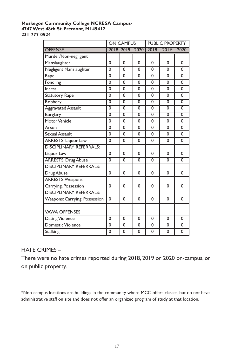#### **Muskegon Community College NCRESA Campus-4747 West 48th St. Fremont, MI 49412 231-777-0524**

|                                |                | <b>ON CAMPUS</b> |                | <b>PUBLIC PROPERTY</b> |                |                |
|--------------------------------|----------------|------------------|----------------|------------------------|----------------|----------------|
| <b>OFFENSE</b>                 | 2018 2019      |                  | 2020           | 2018                   | 2019           | 2020           |
| Murder/Non-negligent           |                |                  |                |                        |                |                |
| Manslaughter                   | $\Omega$       | $\Omega$         | $\Omega$       | $\Omega$               | $\Omega$       | $\Omega$       |
| Negligent Manslaughter         | $\overline{0}$ | $\overline{0}$   | $\overline{0}$ | $\overline{0}$         | $\overline{0}$ | $\Omega$       |
| Rape                           | $\Omega$       | $\Omega$         | $\Omega$       | $\Omega$               | $\Omega$       | $\Omega$       |
| Fondling                       | $\overline{0}$ | $\overline{0}$   | $\overline{0}$ | $\overline{0}$         | $\overline{0}$ | 0              |
| Incest                         | $\mathbf 0$    | $\Omega$         | $\mathbf 0$    | $\Omega$               | $\mathbf 0$    | $\Omega$       |
| <b>Statutory Rape</b>          | $\overline{0}$ | $\overline{0}$   | $\overline{0}$ | $\overline{0}$         | $\overline{0}$ | $\overline{0}$ |
| Robbery                        | $\overline{0}$ | $\overline{0}$   | $\overline{0}$ | $\overline{0}$         | $\overline{0}$ | $\overline{0}$ |
| <b>Aggravated Assault</b>      | $\overline{0}$ | 0                | $\overline{0}$ | $\overline{0}$         | $\overline{0}$ | 0              |
| <b>Burglary</b>                | $\overline{0}$ | $\overline{0}$   | $\overline{0}$ | $\overline{0}$         | $\overline{0}$ | $\overline{0}$ |
| Motor Vehicle                  | $\mathbf 0$    | $\mathbf 0$      | $\mathbf 0$    | 0                      | 0              | 0              |
| Arson                          | $\mathbf 0$    | $\mathbf 0$      | 0              | $\mathbf 0$            | $\mathbf 0$    | 0              |
| Sexual Assault                 | $\mathbf 0$    | $\mathbf 0$      | 0              | 0                      | 0              | 0              |
| <b>ARRESTS: Liquor Law</b>     | 0              | 0                | 0              | 0                      | $\Omega$       | 0              |
| <b>DISCIPLINARY REFERRALS:</b> |                |                  |                |                        |                |                |
| Liquor Law                     | 0              | $\Omega$         | 0              | $\Omega$               | 0              | 0              |
| <b>ARRESTS: Drug Abuse</b>     | $\overline{0}$ | $\mathbf 0$      | $\overline{0}$ | $\Omega$               | $\Omega$       | $\Omega$       |
| <b>DISCIPLINARY REFERRALS:</b> |                |                  |                |                        |                |                |
| Drug Abuse                     | 0              | 0                | $\Omega$       | $\Omega$               | $\Omega$       | 0              |
| ARRESTS: Weapons:              |                |                  |                |                        |                |                |
| Carrying, Possession           | 0              | 0                | 0              | $\Omega$               | $\Omega$       | $\Omega$       |
| <b>DISCIPLINARY REFERRALS:</b> |                |                  |                |                        |                |                |
| Weapons: Carrying, Possession  | $\Omega$       | $\Omega$         | $\Omega$       | $\Omega$               | $\Omega$       | $\Omega$       |
| <b>VAWA OFFENSES</b>           |                |                  |                |                        |                |                |
| Dating Violence                | 0              | $\Omega$         | 0              | $\Omega$               | 0              | 0              |
| <b>Domestic Violence</b>       | 0              | $\mathbf 0$      | 0              | 0                      | 0              | 0              |
| <b>Stalking</b>                | 0              | $\Omega$         | $\Omega$       | 0                      | 0              | 0              |

#### HATE CRIMES –

There were no hate crimes reported during 2018, 2019 or 2020 on-campus, or on public property.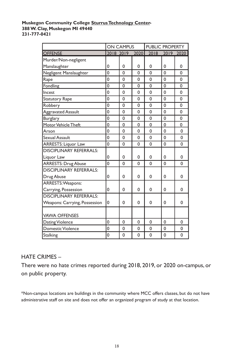#### **Muskegon Community College Sturrus Technology Center-388 W. Clay, Muskegon MI 49440 231-777-0421**

|                                | <b>ON CAMPUS</b> |             |             | <b>PUBLIC PROPERTY</b> |             |             |
|--------------------------------|------------------|-------------|-------------|------------------------|-------------|-------------|
| <b>OFFENSE</b>                 | 2018 2019        |             | 2020        | 2018                   |             | 2019 2020   |
| Murder/Non-negligent           |                  |             |             |                        |             |             |
| Manslaughter                   | 0                | 0           | 0           | 0                      | 0           | 0           |
| Negligent Manslaughter         | $\mathbf 0$      | $\Omega$    | $\Omega$    | $\Omega$               | $\mathbf 0$ | $\mathbf 0$ |
| Rape                           | $\mathbf 0$      | $\Omega$    | 0           | $\Omega$               | $\mathbf 0$ | 0           |
| Fondling                       | 0                | $\Omega$    | 0           | $\Omega$               | $\mathbf 0$ | 0           |
| Incest                         | 0                | $\Omega$    | 0           | $\Omega$               | $\mathbf 0$ | $\Omega$    |
| <b>Statutory Rape</b>          | 0                | $\Omega$    | 0           | $\Omega$               | 0           | 0           |
| Robbery                        | $\mathbf 0$      | 0           | $\Omega$    | $\Omega$               | $\mathbf 0$ | $\Omega$    |
| <b>Aggravated Assault</b>      | $\mathbf 0$      | 0           | 0           | $\mathbf 0$            | $\mathbf 0$ | 0           |
| Burglary                       | $\mathbf 0$      | $\mathbf 0$ | 0           | $\mathbf 0$            | $\mathbf 0$ | $\Omega$    |
| Motor Vehicle Theft            | $\mathbf 0$      | $\mathbf 0$ | $\mathbf 0$ | $\mathbf 0$            | $\mathbf 0$ | 0           |
| Arson                          | $\mathbf 0$      | 0           | 0           | $\mathbf 0$            | $\mathbf 0$ | 0           |
| Sexual Assault                 | $\mathbf 0$      | 0           | 0           | 0                      | $\mathbf 0$ | 0           |
| <b>ARRESTS: Liquor Law</b>     | 0                | $\Omega$    | $\Omega$    | $\Omega$               | $\mathbf 0$ | $\Omega$    |
| <b>DISCIPLINARY REFERRALS:</b> |                  |             |             |                        |             |             |
| Liquor Law                     | 0                | 0           | 0           | $\Omega$               | 0           | 0           |
| <b>ARRESTS: Drug Abuse</b>     | $\mathbf 0$      | $\Omega$    | $\Omega$    | $\Omega$               | $\Omega$    | $\Omega$    |
| <b>DISCIPLINARY REFERRALS:</b> |                  |             |             |                        |             |             |
| Drug Abuse                     | 0                | $\Omega$    | $\Omega$    | $\Omega$               | 0           | $\Omega$    |
| ARRESTS: Weapons:              |                  |             |             |                        |             |             |
| Carrying, Possession           | 0                | 0           | 0           | 0                      | 0           | 0           |
| <b>DISCIPLINARY REFERRALS:</b> |                  |             |             |                        |             |             |
| Weapons: Carrying, Possession  | 0                | 0           | $\Omega$    | 0                      | 0           | 0           |
| <b>VAWA OFFENSES</b>           |                  |             |             |                        |             |             |
| Dating Violence                | $\mathbf 0$      | 0           | 0           | 0                      | 0           | 0           |
| <b>Domestic Violence</b>       | $\mathbf 0$      | $\mathbf 0$ | $\mathbf 0$ | $\mathbf 0$            | $\mathbf 0$ | $\mathbf 0$ |
| <b>Stalking</b>                | 0                | $\mathbf 0$ | $\Omega$    | $\Omega$               | $\mathbf 0$ | $\Omega$    |

#### HATE CRIMES –

There were no hate crimes reported during 2018, 2019, or 2020 on-campus, or on public property.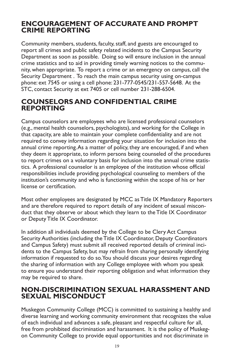### **ENCOURAGEMENT OF ACCURATE AND PROMPT CRIME REPORTING**

Community members, students, faculty, staff, and guests are encouraged to report all crimes and public safety related incidents to the Campus Security Department as soon as possible. Doing so will ensure inclusion in the annual crime statistics and to aid in providing timely warning notices to the community, when appropriate. To report a crime or an emergency on campus, call the Security Department . To reach the main campus security using on-campus phone: ext 7545 or using a cell phone: 231-777-0545/231-557-5648. At the STC, contact Security at ext 7405 or cell number 231-288-6504.

### **COUNSELORS AND CONFIDENTIAL CRIME REPORTING**

Campus counselors are employees who are licensed professional counselors (e.g., mental health counselors, psychologists), and working for the College in that capacity, are able to maintain your complete confidentiality and are not required to convey information regarding your situation for inclusion into the annual crime reporting. As a matter of policy, they are encouraged, if and when they deem it appropriate, to inform persons being counseled of the procedures to report crimes on a voluntary basis for inclusion into the annual crime statistics. A professional counselor is an employee of the institution whose official responsibilities include providing psychological counseling to members of the institution's community and who is functioning within the scope of his or her license or certification.

Most other employees are designated by MCC as Title IX Mandatory Reporters and are therefore required to report details of any incident of sexual misconduct that they observe or about which they learn to the Title IX Coordinator or Deputy Title IX Coordinator.

In addition all individuals deemed by the College to be Clery Act Campus Security Authorities (including the Title IX Coordinator, Deputy Coordinators and Campus Safety) must submit all received reported details of criminal incidents to the Campus Safety, but may refrain from sharing personally identifying information if requested to do so. You should discuss your desires regarding the sharing of information with any College employee with whom you speak to ensure you understand their reporting obligation and what information they may be required to share.

### **NON-DISCRIMINATION SEXUAL HARASSMENT AND SEXUAL MISCONDUCT**

Muskegon Community College (MCC) is committed to sustaining a healthy and diverse learning and working community environment that recognizes the value of each individual and advances a safe, pleasant and respectful culture for all, free from prohibited discrimination and harassment. It is the policy of Muskegon Community College to provide equal opportunities and not discriminate in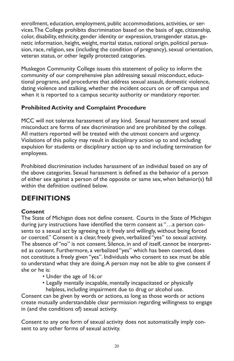enrollment, education, employment, public accommodations, activities, or services.The College prohibits discrimination based on the basis of age, citizenship, color, disability, ethnicity, gender identity or expression, transgender status, genetic information, height, weight, marital status, national origin, political persuasion, race, religion, sex (including the condition of pregnancy), sexual orientation, veteran status, or other legally protected categories.

Muskegon Community College issues this statement of policy to inform the community of our comprehensive plan addressing sexual misconduct, educational programs, and procedures that address sexual assault, domestic violence, dating violence and stalking, whether the incident occurs on or off campus and when it is reported to a campus security authority or mandatory reporter.

### **Prohibited Activity and Complaint Procedure**

MCC will not tolerate harassment of any kind. Sexual harassment and sexual misconduct are forms of sex discrimination and are prohibited by the college. All matters reported will be treated with the utmost concern and urgency. Violations of this policy may result in disciplinary action up to and including expulsion for students or disciplinary action up to and including termination for employees.

Prohibited discrimination includes harassment of an individual based on any of the above categories. Sexual harassment is defined as the behavior of a person of either sex against a person of the opposite or same sex, when behavior(s) fall within the definition outlined below.

# **DEFINITIONS**

#### **Consent**

The State of Michigan does not define consent. Courts in the State of Michigan during jury instructions have identified the term consent as "…a person consents to a sexual act by agreeing to it freely and willingly, without being forced or coerced." Consent is a clear, freely given, verbalized "yes" to sexual activity. The absence of "no" is not consent. Silence, in and of itself, cannot be interpreted as consent. Furthermore, a verbalized "yes" which has been coerced, does not constitute a freely given "yes". Individuals who consent to sex must be able to understand what they are doing. A person may not be able to give consent if she or he is:

- Under the age of 16; or
- Legally mentally incapable, mentally incapacitated or physically helpless, including impairment due to drug or alcohol use.

Consent can be given by words or actions, as long as those words or actions create mutually understandable clear permission regarding willingness to engage in (and the conditions of) sexual activity.

Consent to any one form of sexual activity does not automatically imply consent to any other forms of sexual activity.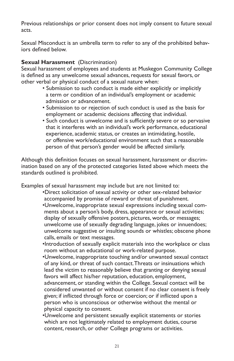Previous relationships or prior consent does not imply consent to future sexual acts.

Sexual Misconduct is an umbrella term to refer to any of the prohibited behaviors defined below.

#### **Sexual Harassment** (Discrimination)

Sexual harassment of employees and students at Muskegon Community College is defined as any unwelcome sexual advances, requests for sexual favors, or other verbal or physical conduct of a sexual nature when:

- Submission to such conduct is made either explicitly or implicitly a term or condition of an individual's employment or academic admission or advancement.
- Submission to or rejection of such conduct is used as the basis for employment or academic decisions affecting that individual.
- Such conduct is unwelcome and is sufficiently severe or so pervasive that it interferes with an individual's work performance, educational experience, academic status, or creates an intimidating, hostile, or offensive work/educational environment such that a reasonable person of that person's gender would be affected similarly.

Although this definition focuses on sexual harassment, harassment or discrimination based on any of the protected categories listed above which meets the standards outlined is prohibited.

Examples of sexual harassment may include but are not limited to:

- •Direct solicitation of sexual activity or other sex-related behavior accompanied by promise of reward or threat of punishment.
- •Unwelcome, inappropriate sexual expressions including sexual com ments about a person's body, dress, appearance or sexual activities; display of sexually offensive posters, pictures, words, or messages; unwelcome use of sexually degrading language, jokes or innuendoes; unwelcome suggestive or insulting sounds or whistles; obscene phone calls, emails or text messages.
- •Introduction of sexually explicit materials into the workplace or class room without an educational or work-related purpose.
- •Unwelcome, inappropriate touching and/or unwanted sexual contact of any kind, or threat of such contact. Threats or insinuations which lead the victim to reasonably believe that granting or denying sexual favors will affect his/her reputation, education, employment, advancement, or standing within the College. Sexual contact will be considered unwanted or without consent if no clear consent is freely given; if inflicted through force or coercion; or if inflicted upon a person who is unconscious or otherwise without the mental or physical capacity to consent.
- •Unwelcome and persistent sexually explicit statements or stories which are not legitimately related to employment duties, course content, research, or other College programs or activities.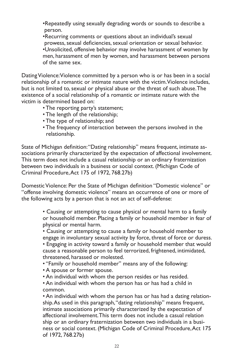- •Repeatedly using sexually degrading words or sounds to describe a person.
- •Recurring comments or questions about an individual's sexual prowess, sexual deficiencies, sexual orientation or sexual behavior. •Unsolicited, offensive behavior may involve harassment of women by men, harassment of men by women, and harassment between persons of the same sex.

Dating Violence: Violence committed by a person who is or has been in a social relationship of a romantic or intimate nature with the victim. Violence includes, but is not limited to, sexual or physical abuse or the threat of such abuse. The existence of a social relationship of a romantic or intimate nature with the victim is determined based on:

- The reporting party's statement;
- The length of the relationship;
- The type of relationship; and
- The frequency of interaction between the persons involved in the relationship.

State of Michigan definition: "Dating relationship" means frequent, intimate associations primarily characterized by the expectation of affectional involvement. This term does not include a casual relationship or an ordinary fraternization between two individuals in a business or social context. (Michigan Code of Criminal Procedure, Act 175 of 1972, 768.27b)

Domestic Violence: Per the State of Michigan definition "Domestic violence" or "offense involving domestic violence" means an occurrence of one or more of the following acts by a person that is not an act of self-defense:

> • Causing or attempting to cause physical or mental harm to a family or household member. Placing a family or household member in fear of physical or mental harm.

> • Causing or attempting to cause a family or household member to engage in involuntary sexual activity by force, threat of force or duress.

> • Engaging in activity toward a family or household member that would cause a reasonable person to feel terrorized, frightened, intimidated, threatened, harassed or molested.

- "Family or household member" means any of the following:
- A spouse or former spouse.
- An individual with whom the person resides or has resided.

• An individual with whom the person has or has had a child in common.

• An individual with whom the person has or has had a dating relationship. As used in this paragraph, "dating relationship" means frequent, intimate associations primarily characterized by the expectation of affectional involvement. This term does not include a casual relation ship or an ordinary fraternization between two individuals in a business or social context. (Michigan Code of Criminal Procedure, Act 175 of 1972, 768.27b)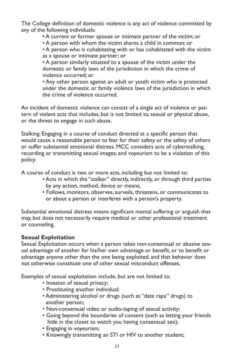The College definition of domestic violence is any act of violence committed by any of the following individuals:

• A current or former spouse or intimate partner of the victim; or

• A person with whom the victim shares a child in common; or

• A person who is cohabitating with or has cohabitated with the victim as a spouse or intimate partner; or

• A person similarly situated to a spouse of the victim under the domestic or family laws of the jurisdiction in which the crime of violence occurred; or

• Any other person against an adult or youth victim who is protected under the domestic or family violence laws of the jurisdiction in which the crime of violence occurred.

An incident of domestic violence can consist of a single act of violence or pattern of violent acts that includes, but is not limited to, sexual or physical abuse, or the threat to engage in such abuse.

Stalking: Engaging in a course of conduct directed at a specific person that would cause a reasonable person to fear for their safety or the safety of others or suffer substantial emotional distress. MCC considers acts of cyberstalking, recording or transmitting sexual images, and voyeurism to be a violation of this policy.

A course of conduct is two or more acts, including but not limited to:

- Acts in which the "stalker" directly, indirectly, or through third parties by any action, method, device or means,
- Follows, monitors, observes, surveils, threatens, or communicates to or about a person or interferes with a person's property.

Substantial emotional distress means significant mental suffering or anguish that may, but does not necessarily require medical or other professional treatment or counseling.

#### **Sexual Exploitation**

Sexual Exploitation occurs when a person takes non-consensual or abusive sexual advantage of another for his/her own advantage or benefit, or to benefit or advantage anyone other than the one being exploited, and that behavior does not otherwise constitute one of other sexual misconduct offenses.

Examples of sexual exploitation include, but are not limited to:

- Invasion of sexual privacy;
- Prostituting another individual;
- Administering alcohol or drugs (such as "date rape" drugs) to another person;
- Non-consensual video or audio-taping of sexual activity;
- Going beyond the boundaries of consent (such as letting your friends hide in the closet to watch you having consensual sex);
- Engaging in voyeurism;
- Knowingly transmitting an STI or HIV to another student;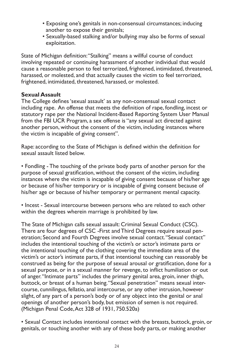- Exposing one's genitals in non-consensual circumstances; inducing another to expose their genitals;
- Sexually-based stalking and/or bullying may also be forms of sexual exploitation.

State of Michigan definition: "Stalking" means a willful course of conduct involving repeated or continuing harassment of another individual that would cause a reasonable person to feel terrorized, frightened, intimidated, threatened, harassed, or molested, and that actually causes the victim to feel terrorized, frightened, intimidated, threatened, harassed, or molested.

#### **Sexual Assault**

The College defines 'sexual assault' as any non-consensual sexual contact including rape. An offense that meets the definition of rape, fondling, incest or statutory rape per the National Incident-Based Reporting System User Manual from the FBI UCR Program, a sex offense is "any sexual act directed against another person, without the consent of the victim, including instances where the victim is incapable of giving consent".

Rape: according to the State of Michigan is defined within the definition for sexual assault listed below.

• Fondling - The touching of the private body parts of another person for the purpose of sexual gratification, without the consent of the victim, including instances where the victim is incapable of giving consent because of his/her age or because of his/her temporary or is incapable of giving consent because of his/her age or because of his/her temporary or permanent mental capacity.

• Incest - Sexual intercourse between persons who are related to each other within the degrees wherein marriage is prohibited by law.

The State of Michigan calls sexual assault: Criminal Sexual Conduct (CSC). There are four degrees of CSC -First and Third Degrees require sexual penetration; Second and Fourth Degrees involve sexual contact. "Sexual contact" includes the intentional touching of the victim's or actor's intimate parts or the intentional touching of the clothing covering the immediate area of the victim's or actor's intimate parts, if that intentional touching can reasonably be construed as being for the purpose of sexual arousal or gratification, done for a sexual purpose, or in a sexual manner for revenge, to inflict humiliation or out of anger. "Intimate parts" includes the primary genital area, groin, inner thigh, buttock, or breast of a human being. "Sexual penetration" means sexual intercourse, cunnilingus, fellatio, anal intercourse, or any other intrusion, however slight, of any part of a person's body or of any object into the genital or anal openings of another person's body, but emission of semen is not required. (Michigan Penal Code, Act 328 of 1931, 750.520a)

• Sexual Contact includes intentional contact with the breasts, buttock, groin, or genitals, or touching another with any of these body parts, or making another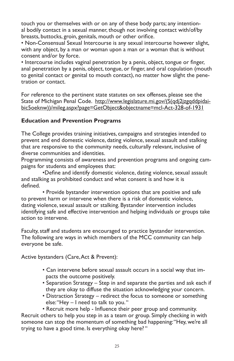touch you or themselves with or on any of these body parts; any intentional bodily contact in a sexual manner, though not involving contact with/of/by breasts, buttocks, groin, genitals, mouth or other orifice.

• Non-Consensual Sexual Intercourse is any sexual intercourse however slight, with any object, by a man or woman upon a man or a woman that is without consent and/or by force.

• Intercourse includes vaginal penetration by a penis, object, tongue or finger, anal penetration by a penis, object, tongue, or finger, and oral copulation (mouth to genital contact or genital to mouth contact), no matter how slight the penetration or contact.

For reference to the pertinent state statutes on sex offenses, please see the State of Michigan Penal Code. http://www.legislature.mi.gov/(S(qdj2jzgqddpidaibic5oeknw))/mileg.aspx?page=GetObject&objectname=mcl-Act-328-of-1931

#### **Education and Prevention Programs**

The College provides training initiatives, campaigns and strategies intended to prevent and end domestic violence, dating violence, sexual assault and stalking that are responsive to the community needs, culturally relevant, inclusive of diverse communities and identities.

Programming consists of awareness and prevention programs and ongoing campaigns for students and employees that:

•Define and identify domestic violence, dating violence, sexual assault and stalking as prohibited conduct and what consent is and how it is defined.

• Provide bystander intervention options that are positive and safe to prevent harm or intervene when there is a risk of domestic violence, dating violence, sexual assault or stalking. Bystander intervention includes identifying safe and effective intervention and helping individuals or groups take action to intervene.

Faculty, staff and students are encouraged to practice bystander intervention. The following are ways in which members of the MCC community can help everyone be safe.

Active bystanders (Care, Act & Prevent):

- Can intervene before sexual assault occurs in a social way that im pacts the outcome positively.
- Separation Strategy Step in and separate the parties and ask each if they are okay to diffuse the situation acknowledging your concern.
- Distraction Strategy redirect the focus to someone or something else: "Hey – I need to talk to you. "

• Recruit more help - Influence their peer group and community. Recruit others to help you step in as a team or group. Simply checking in with someone can stop the momentum of something bad happening: "Hey, we're all trying to have a good time. Is everything okay here? "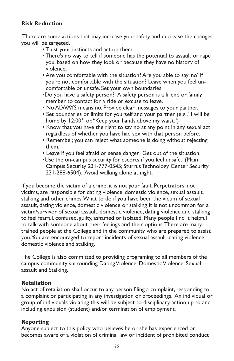#### **Risk Reduction**

 There are some actions that may increase your safety and decrease the changes you will be targeted.

- Trust your instincts and act on them.
- There's no way to tell if someone has the potential to assault or rape you, based on how they look or because they have no history of violence.
- Are you comfortable with the situation? Are you able to say 'no' if you're not comfortable with the situation? Leave when you feel un comfortable or unsafe. Set your own boundaries.
- •Do you have a safety person? A safety person is a friend or family member to contact for a ride or excuse to leave.
- No ALWAYS means no. Provide clear messages to your partner.
- Set boundaries or limits for yourself and your partner (e.g., "I will be home by 12:00," or, "Keep your hands above my waist.")
- Know that you have the right to say no at any point in any sexual act regardless of whether you have had sex with that person before.
- Remember, you can reject what someone is doing without rejecting them.
- Leave if you feel afraid or sense danger. Get out of the situation.
- •Use the on-campus security for escorts if you feel unsafe. (Main Campus Security 231-777-0545; Sturrus Technology Center Security 231-288-6504). Avoid walking alone at night.

If you become the victim of a crime, it is not your fault. Perpetrators, not victims, are responsible for dating violence, domestic violence, sexual assault, stalking and other crimes. What to do if you have been the victim of sexual assault, dating violence, domestic violence or stalking It is not uncommon for a victim/survivor of sexual assault, domestic violence, dating violence and stalking to feel fearful, confused, guilty, ashamed or isolated. Many people find it helpful to talk with someone about their feelings and their options. There are many trained people at the College and in the community who are prepared to assist you. You are encouraged to report incidents of sexual assault, dating violence, domestic violence and stalking.

The College is also committed to providing programing to all members of the campus community surrounding Dating Violence, Domestic Violence, Sexual assault and Stalking.

#### **Retaliation**

No act of retaliation shall occur to any person filing a complaint, responding to a complaint or participating in any investigation or proceedings. An individual or group of individuals violating this will be subject to disciplinary action up to and including expulsion (student) and/or termination of employment.

#### **Reporting**

Anyone subject to this policy who believes he or she has experienced or becomes aware of a violation of criminal law or incident of prohibited conduct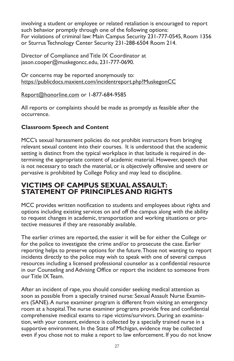involving a student or employee or related retaliation is encouraged to report such behavior promptly through one of the following options: For violations of criminal law: Main Campus Security 231-777-0545, Room 1356 or Sturrus Technology Center Security 231-288-6504 Room 214.

Director of Compliance and Title IX Coordinator at jason.cooper@muskegoncc.edu, 231-777-0690.

Or concerns may be reported anonymously to: https://publicdocs.maxient.com/incidentreport.php?MuskegonCC

Report@honorline.com or 1-877-684-9585

All reports or complaints should be made as promptly as feasible after the occurrence.

### **Classroom Speech and Content**

MCC's sexual harassment policies do not prohibit instructors from bringing relevant sexual content into their courses. It is understood that the academic setting is distinct from the typical workplace in that latitude is required in determining the appropriate content of academic material. However, speech that is not necessary to teach the material, or is objectively offensive and severe or pervasive is prohibited by College Policy and may lead to discipline.

### **VICTIMS OF CAMPUS SEXUAL ASSAULT: STATEMENT OF PRINCIPLES AND RIGHTS**

MCC provides written notification to students and employees about rights and options including existing services on and off the campus along with the ability to request changes in academic, transportation and working situations or protective measures if they are reasonably available.

The earlier crimes are reported, the easier it will be for either the College or for the police to investigate the crime and/or to prosecute the case. Earlier reporting helps to preserve options for the future. Those not wanting to report incidents directly to the police may wish to speak with one of several campus resources including a licensed professional counselor as a confidential resource in our Counseling and Advising Office or report the incident to someone from our Title IX Team.

After an incident of rape, you should consider seeking medical attention as soon as possible from a specially trained nurse: Sexual Assault Nurse Examiners (SANE). A nurse examiner program is different from visiting an emergency room at a hospital. The nurse examiner programs provide free and confidential comprehensive medical exams to rape victims/survivors. During an examination, with your consent, evidence is collected by a specially trained nurse in a supportive environment. In the State of Michigan, evidence may be collected even if you chose not to make a report to law enforcement. If you do not know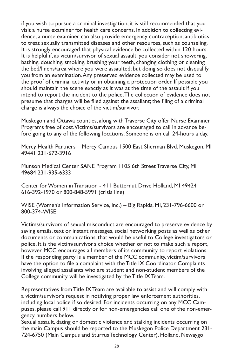if you wish to pursue a criminal investigation, it is still recommended that you visit a nurse examiner for health care concerns. In addition to collecting evidence, a nurse examiner can also provide emergency contraception, antibiotics to treat sexually transmitted diseases and other resources, such as counseling. It is strongly encouraged that physical evidence be collected within 120 hours. It is helpful if, as victim/survivor of sexual assault, you consider not showering, bathing, douching, smoking, brushing your teeth, changing clothing or cleaning the bed/linens/area where you were assaulted; but doing so does not disqualify you from an examination. Any preserved evidence collected may be used to the proof of criminal activity or in obtaining a protection order. If possible you should maintain the scene exactly as it was at the time of the assault if you intend to report the incident to the police. The collection of evidence does not presume that charges will be filed against the assailant; the filing of a criminal charge is always the choice of the victim/survivor.

Muskegon and Ottawa counties, along with Traverse City offer Nurse Examiner Programs free of cost. Victims/survivors are encouraged to call in advance before going to any of the following locations. Someone is on call 24-hours a day.

Mercy Health Partners – Mercy Campus 1500 East Sherman Blvd. Muskegon, MI 49441 231-672-3916

Munson Medical Center SANE Program 1105 6th Street Traverse City, MI 49684 231-935-6333

Center for Women in Transition - 411 Butternut Drive Holland, MI 49424 616-392-1970 or 800-848-5991 (crisis line)

WISE (Women's Information Service, Inc.) – Big Rapids, MI, 231-796-6600 or 800-374-WISE

Victims/survivors of sexual misconduct are encouraged to preserve evidence by saving emails, text or instant messages, social networking posts as well as other documents or communications, that would be useful to College investigators or police. It is the victim/survivor's choice whether or not to make such a report, however MCC encourages all members of its community to report violations. If the responding party is a member of the MCC community, victim/survivors have the option to file a complaint with the Title IX Coordinator. Complaints involving alleged assailants who are student and non-student members of the College community will be investigated by the Title IX Team.

Representatives from Title IX Team are available to assist and will comply with a victim/survivor's request in notifying proper law enforcement authorities, including local police if so desired. For incidents occurring on any MCC Campuses, please call 911 directly or for non-emergencies call one of the non-emergency numbers below.

Sexual assault, dating or domestic violence and stalking incidents occurring on the main Campus should be reported to the Muskegon Police Department 231- 724-6750 (Main Campus and Sturrus Technology Center), Holland, Newaygo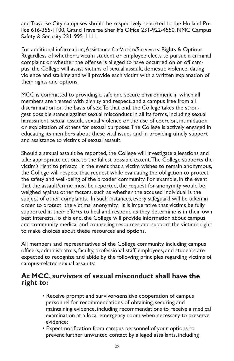and Traverse City campuses should be respectively reported to the Holland Police 616-355-1100, Grand Traverse Sheriff's Office 231-922-4550, NMC Campus Safety & Security 231-995-1111.

For additional information, Assistance for Victim/Survivors: Rights & Options Regardless of whether a victim student or employee elects to pursue a criminal complaint or whether the offense is alleged to have occurred on or off campus, the College will assist victims of sexual assault, domestic violence, dating violence and stalking and will provide each victim with a written explanation of their rights and options.

MCC is committed to providing a safe and secure environment in which all members are treated with dignity and respect, and a campus free from all discrimination on the basis of sex. To that end, the College takes the strongest possible stance against sexual misconduct in all its forms, including sexual harassment, sexual assault, sexual violence or the use of coercion, intimidation or exploitation of others for sexual purposes. The College is actively engaged in educating its members about these vital issues and in providing timely support and assistance to victims of sexual assault.

Should a sexual assault be reported, the College will investigate allegations and take appropriate actions, to the fullest possible extent. The College supports the victim's right to privacy. In the event that a victim wishes to remain anonymous, the College will respect that request while evaluating the obligation to protect the safety and well-being of the broader community. For example, in the event that the assault/crime must be reported, the request for anonymity would be weighed against other factors, such as whether the accused individual is the subject of other complaints. In such instances, every safeguard will be taken in order to protect the victims' anonymity. It is imperative that victims be fully supported in their efforts to heal and respond as they determine is in their own best interests. To this end, the College will provide information about campus and community medical and counseling resources and support the victim's right to make choices about these resources and options.

All members and representatives of the College community, including campus officers, administrators, faculty, professional staff, employees, and students are expected to recognize and abide by the following principles regarding victims of campus-related sexual assaults:

### **At MCC, survivors of sexual misconduct shall have the right to:**

- Receive prompt and survivor-sensitive cooperation of campus personnel for recommendations of obtaining, securing and maintaining evidence, including recommendations to receive a medical examination at a local emergency room when necessary to preserve evidence;
- Expect notification from campus personnel of your options to prevent further unwanted contact by alleged assailants, including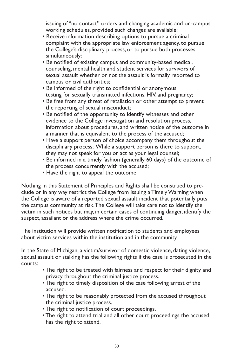issuing of "no contact" orders and changing academic and on-campus working schedules, provided such changes are available;

- Receive information describing options to pursue a criminal complaint with the appropriate law enforcement agency, to pursue the College's disciplinary process, or to pursue both processes simultaneously:
- Be notified of existing campus and community-based medical, counseling, mental health and student services for survivors of sexual assault whether or not the assault is formally reported to campus or civil authorities;
- Be informed of the right to confidential or anonymous testing for sexually transmitted infections, HIV, and pregnancy;
- Be free from any threat of retaliation or other attempt to prevent the reporting of sexual misconduct;
- Be notified of the opportunity to identify witnesses and other evidence to the College investigation and resolution process, information about procedures, and written notice of the outcome in a manner that is equivalent to the process of the accused;
- Have a support person of choice accompany them throughout the disciplinary process; While a support person is there to support, they may not speak for you or act as your legal counsel;
- Be informed in a timely fashion (generally 60 days) of the outcome of the process concurrently with the accused;
- Have the right to appeal the outcome.

Nothing in this Statement of Principles and Rights shall be construed to preclude or in any way restrict the College from issuing a Timely Warning when the College is aware of a reported sexual assault incident that potentially puts the campus community at risk. The College will take care not to identify the victim in such notices but may, in certain cases of continuing danger, identify the suspect, assailant or the address where the crime occurred.

The institution will provide written notification to students and employees about victim services within the institution and in the community.

In the State of Michigan, a victim/survivor of domestic violence, dating violence, sexual assault or stalking has the following rights if the case is prosecuted in the courts:

- The right to be treated with fairness and respect for their dignity and privacy throughout the criminal justice process.
- The right to timely disposition of the case following arrest of the accused.
- The right to be reasonably protected from the accused throughout the criminal justice process.
- The right to notification of court proceedings.
- The right to attend trial and all other court proceedings the accused has the right to attend.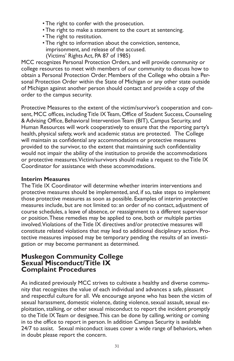- The right to confer with the prosecution.
- The right to make a statement to the court at sentencing.
- The right to restitution.
- The right to information about the conviction, sentence, imprisonment, and release of the accused. (Victims' Rights Act, PA 87 of 1985)

MCC recognizes Personal Protection Orders, and will provide community or college resources to meet with members of our community to discuss how to obtain a Personal Protection Order. Members of the College who obtain a Personal Protection Order within the State of Michigan or any other state outside of Michigan against another person should contact and provide a copy of the order to the campus security.

Protective Measures to the extent of the victim/survivor's cooperation and consent, MCC offices, including Title IX Team, Office of Student Success, Counseling & Advising Office, Behavioral Intervention Team (BIT), Campus Security, and Human Resources will work cooperatively to ensure that the reporting party's health, physical safety, work and academic status are protected. The College will maintain as confidential any accommodations or protective measures provided to the survivor, to the extent that maintaining such confidentiality would not impair the ability of the institution to provide the accommodations or protective measures. Victim/survivors should make a request to the Title IX Coordinator for assistance with these accommodations.

#### **Interim Measures**

The Title IX Coordinator will determine whether interim interventions and protective measures should be implemented, and, if so, take steps to implement those protective measures as soon as possible. Examples of interim protective measures include, but are not limited to: an order of no contact, adjustment of course schedules, a leave of absence, or reassignment to a different supervisor or position. These remedies may be applied to one, both or multiple parties involved. Violations of the Title IX directives and/or protective measures will constitute related violations that may lead to additional disciplinary action. Protective measures imposed may be temporary pending the results of an investigation or may become permanent as determined.

#### **Muskegon Community College Sexual Misconduct/Title IX Complaint Procedures**

As indicated previously MCC strives to cultivate a healthy and diverse community that recognizes the value of each individual and advances a safe, pleasant and respectful culture for all. We encourage anyone who has been the victim of sexual harassment, domestic violence, dating violence, sexual assault, sexual exploitation, stalking, or other sexual misconduct to report the incident promptly to the Title IX Team or designee. This can be done by calling, writing or coming in to the office to report in person. In addition Campus Security is available 24/7 to assist. Sexual misconduct issues cover a wide range of behaviors, when in doubt please report the concern.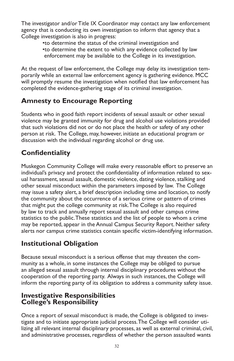The investigator and/or Title IX Coordinator may contact any law enforcement agency that is conducting its own investigation to inform that agency that a College investigation is also in progress:

•to determine the status of the criminal investigation and •to determine the extent to which any evidence collected by law enforcement may be available to the College in its investigation.

At the request of law enforcement, the College may delay its investigation temporarily while an external law enforcement agency is gathering evidence. MCC will promptly resume the investigation when notified that law enforcement has completed the evidence-gathering stage of its criminal investigation.

### **Amnesty to Encourage Reporting**

Students who in good faith report incidents of sexual assault or other sexual violence may be granted immunity for drug and alcohol use violations provided that such violations did not or do not place the health or safety of any other person at risk. The College, may, however, initiate an educational program or discussion with the individual regarding alcohol or drug use.

# **Confidentiality**

Muskegon Community College will make every reasonable effort to preserve an individual's privacy and protect the confidentiality of information related to sexual harassment, sexual assault, domestic violence, dating violence, stalking and other sexual misconduct within the parameters imposed by law. The College may issue a safety alert, a brief description including time and location, to notify the community about the occurrence of a serious crime or pattern of crimes that might put the college community at risk. The College is also required by law to track and annually report sexual assault and other campus crime statistics to the public. These statistics and the list of people to whom a crime may be reported, appear in the Annual Campus Security Report. Neither safety alerts nor campus crime statistics contain specific victim-identifying information.

# **Institutional Obligation**

Because sexual misconduct is a serious offense that may threaten the community as a whole, in some instances the College may be obliged to pursue an alleged sexual assault through internal disciplinary procedures without the cooperation of the reporting party. Always in such instances, the College will inform the reporting party of its obligation to address a community safety issue.

### **Investigative Responsibilities College's Responsibility**

Once a report of sexual misconduct is made, the College is obligated to investigate and to initiate appropriate judicial process. The College will consider utilizing all relevant internal disciplinary processes, as well as external criminal, civil, and administrative processes, regardless of whether the person assaulted wants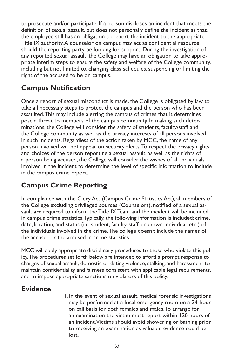to prosecute and/or participate. If a person discloses an incident that meets the definition of sexual assault, but does not personally define the incident as that, the employee still has an obligation to report the incident to the appropriate Title IX authority. A counselor on campus may act as confidential resource should the reporting party be looking for support. During the investigation of any reported sexual assault, the College may have an obligation to take appropriate interim steps to ensure the safety and welfare of the College community, including but not limited to, changing class schedules, suspending or limiting the right of the accused to be on campus.

# **Campus Notification**

Once a report of sexual misconduct is made, the College is obligated by law to take all necessary steps to protect the campus and the person who has been assaulted. This may include alerting the campus of crimes that it determines pose a threat to members of the campus community. In making such determinations, the College will consider the safety of students, faculty/staff and the College community as well as the privacy interests of all persons involved in such incidents. Regardless of the action taken by MCC, the name of any person involved will not appear on security alerts. To respect the privacy rights and choices of the person reporting a sexual assault, as well as the rights of a person being accused, the College will consider the wishes of all individuals involved in the incident to determine the level of specific information to include in the campus crime report.

# **Campus Crime Reporting**

In compliance with the Clery Act (Campus Crime Statistics Act), all members of the College excluding privileged sources (Counselors), notified of a sexual assault are required to inform the Title IX Team and the incident will be included in campus crime statistics. Typically, the following information is included: crime, date, location, and status (i.e. student, faculty, staff, unknown individual, etc.) of the individuals involved in the crime. The college doesn't include the names of the accuser or the accused in crime statistics.

MCC will apply appropriate disciplinary procedures to those who violate this policy. The procedures set forth below are intended to afford a prompt response to charges of sexual assault, domestic or dating violence, stalking, and harassment to maintain confidentiality and fairness consistent with applicable legal requirements, and to impose appropriate sanctions on violators of this policy.

# **Evidence**

 1. In the event of sexual assault, medical forensic investigations may be performed at a local emergency room on a 24-hour on call basis for both females and males. To arrange for an examination the victim must report within 120 hours of an incident. Victims should avoid showering or bathing prior to receiving an examination as valuable evidence could be lost.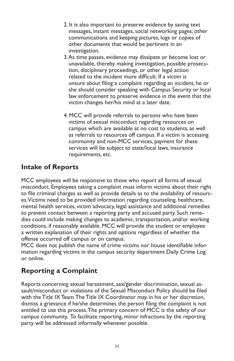- 2. It is also important to preserve evidence by saving text messages, instant messages, social networking pages, other communications and keeping pictures, logs or copies of other documents that would be pertinent in an investigation.
- 3. As time passes, evidence may dissipate or become lost or unavailable, thereby making investigation, possible prosecu tion, disciplinary proceedings, or other legal action related to the incident more difficult. If a victim is unsure about filing a complaint regarding an incident, he or she should consider speaking with Campus Security or local law enforcement to preserve evidence in the event that the victim changes her/his mind at a later date.
- 4. MCC will provide referrals to persons who have been victims of sexual misconduct regarding resources on campus which are available at no cost to students, as well as referrals to resources off campus. If a victim is accessing community and non-MCC services, payment for these services will be subject to state/local laws, insurance requirements, etc.

### **Intake of Reports**

MCC employees will be responsive to those who report all forms of sexual misconduct. Employees taking a complaint must inform victims about their right to file criminal charges as well as provide details as to the availability of resources. Victims need to be provided information regarding counseling, healthcare, mental health services, victim advocacy, legal assistance and additional remedies to prevent contact between a reporting party and accused party. Such remedies could include making changes to academic, transportation, and/or working conditions, if reasonably available. MCC will provide the student or employee a written explanation of their rights and options regardless of whether the offense occurred off campus or on campus.

MCC does not publish the name of crime victims nor house identifiable information regarding victims in the campus security department Daily Crime Log or online.

### **Reporting a Complaint**

Reports concerning sexual harassment, sex/gender discrimination, sexual assault/misconduct or violations of the Sexual Misconduct Policy should be filed with the Title IX Team. The Title IX Coordinator may, in his or her discretion, dismiss a grievance if he/she determines the person filing the complaint is not entitled to use this process. The primary concern of MCC is the safety of our campus community. To facilitate reporting, minor infractions by the reporting party will be addressed informally whenever possible.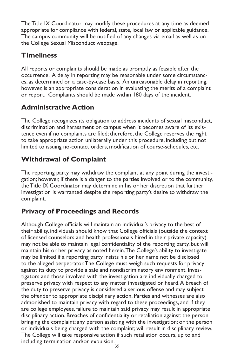The Title IX Coordinator may modify these procedures at any time as deemed appropriate for compliance with federal, state, local law or applicable guidance. The campus community will be notified of any changes via email as well as on the College Sexual Misconduct webpage.

### **Timeliness**

All reports or complaints should be made as promptly as feasible after the occurrence. A delay in reporting may be reasonable under some circumstances, as determined on a case-by-case basis. An unreasonable delay in reporting, however, is an appropriate consideration in evaluating the merits of a complaint or report. Complaints should be made within 180 days of the incident.

# **Administrative Action**

The College recognizes its obligation to address incidents of sexual misconduct, discrimination and harassment on campus when it becomes aware of its existence even if no complaints are filed; therefore, the College reserves the right to take appropriate action unilaterally under this procedure, including but not limited to issuing no-contact orders, modification of course-schedules, etc.

# **Withdrawal of Complaint**

The reporting party may withdraw the complaint at any point during the investigation; however, if there is a danger to the parties involved or to the community, the Title IX Coordinator may determine in his or her discretion that further investigation is warranted despite the reporting party's desire to withdraw the complaint.

# **Privacy of Proceedings and Records**

Although College officials will maintain an individual's privacy to the best of their ability, individuals should know that College officials (outside the context of licensed counselors and health professionals hired in their private capacity) may not be able to maintain legal confidentiality of the reporting party, but will maintain his or her privacy as noted herein. The College's ability to investigate may be limited if a reporting party insists his or her name not be disclosed to the alleged perpetrator. The College must weigh such requests for privacy against its duty to provide a safe and nondiscriminatory environment. Investigators and those involved with the investigation are individually charged to preserve privacy with respect to any matter investigated or heard. A breach of the duty to preserve privacy is considered a serious offense and may subject the offender to appropriate disciplinary action. Parties and witnesses are also admonished to maintain privacy with regard to these proceedings, and if they are college employees, failure to maintain said privacy may result in appropriate disciplinary action. Breaches of confidentiality or retaliation against: the person bringing the complaint; any person assisting with the investigation; or the person or individuals being charged with the complaint; will result in disciplinary review. The College will take responsive action if such retaliation occurs, up to and including termination and/or expulsion.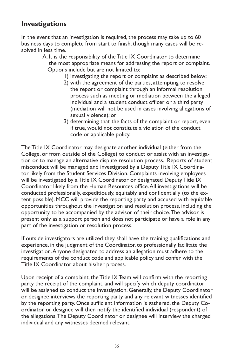### **Investigations**

In the event that an investigation is required, the process may take up to 60 business days to complete from start to finish, though many cases will be resolved in less time.

- A. It is the responsibility of the Title IX Coordinator to determine the most appropriate means for addressing the report or complaint. Options include but are not limited to:
	- 1) investigating the report or complaint as described below;
	- 2) with the agreement of the parties, attempting to resolve the report or complaint through an informal resolution process such as meeting or mediation between the alleged individual and a student conduct officer or a third party (mediation will not be used in cases involving allegations of sexual violence); or
	- 3) determining that the facts of the complaint or report, even if true, would not constitute a violation of the conduct code or applicable policy.

The Title IX Coordinator may designate another individual (either from the College, or from outside of the College) to conduct or assist with an investigation or to manage an alternative dispute resolution process. Reports of student misconduct will be managed and investigated by a Deputy Title IX Coordinator likely from the Student Services Division. Complaints involving employees will be investigated by a Title IX Coordinator or designated Deputy Title IX Coordinator likely from the Human Resources office. All investigations will be conducted professionally, expeditiously, equitably, and confidentially (to the extent possible). MCC will provide the reporting party and accused with equitable opportunities throughout the investigation and resolution process, including the opportunity to be accompanied by the advisor of their choice. The advisor is present only as a support person and does not participate or have a role in any part of the investigation or resolution process.

If outside investigators are utilized they shall have the training qualifications and experience, in the judgment of the Coordinator, to professionally facilitate the investigation. Anyone designated to address an allegation must adhere to the requirements of the conduct code and applicable policy and confer with the Title IX Coordinator about his/her process.

Upon receipt of a complaint, the Title IX Team will confirm with the reporting party the receipt of the complaint, and will specify which deputy coordinator will be assigned to conduct the investigation. Generally, the Deputy Coordinator or designee interviews the reporting party and any relevant witnesses identified by the reporting party. Once sufficient information is gathered, the Deputy Coordinator or designee will then notify the identified individual (respondent) of the allegations. The Deputy Coordinator or designee will interview the charged individual and any witnesses deemed relevant.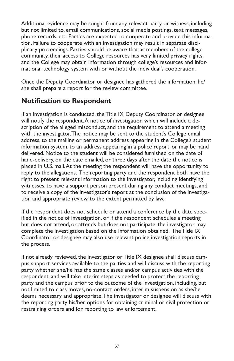Additional evidence may be sought from any relevant party or witness, including but not limited to, email communications, social media postings, text messages, phone records, etc. Parties are expected to cooperate and provide this information. Failure to cooperate with an investigation may result in separate disciplinary proceedings. Parties should be aware that as members of the college community, their access to College resources has very limited privacy rights, and the College may obtain information through college's resources and informational technology system with or without the individual's cooperation.

Once the Deputy Coordinator or designee has gathered the information, he/ she shall prepare a report for the review committee.

### **Notification to Respondent**

If an investigation is conducted, the Title IX Deputy Coordinator or designee will notify the respondent. A notice of investigation which will include a description of the alleged misconduct, and the requirement to attend a meeting with the investigator. The notice may be sent to the student's College email address, to the mailing or permanent address appearing in the College's student information system, to an address appearing in a police report, or may be hand delivered. Notice to the student will be considered furnished on the date of hand-delivery, on the date emailed, or three days after the date the notice is placed in U.S. mail. At the meeting the respondent will have the opportunity to reply to the allegations. The reporting party and the respondent both have the right to present relevant information to the investigator, including identifying witnesses, to have a support person present during any conduct meetings, and to receive a copy of the investigator's report at the conclusion of the investigation and appropriate review, to the extent permitted by law.

If the respondent does not schedule or attend a conference by the date specified in the notice of investigation, or if the respondent schedules a meeting but does not attend, or attends but does not participate, the investigator may complete the investigation based on the information obtained. The Title IX Coordinator or designee may also use relevant police investigation reports in the process.

If not already reviewed, the investigator or Title IX designee shall discuss campus support services available to the parties and will discuss with the reporting party whether she/he has the same classes and/or campus activities with the respondent, and will take interim steps as needed to protect the reporting party and the campus prior to the outcome of the investigation, including, but not limited to class moves, no-contact orders, interim suspension as she/he deems necessary and appropriate. The investigator or designee will discuss with the reporting party his/her options for obtaining criminal or civil protection or restraining orders and for reporting to law enforcement.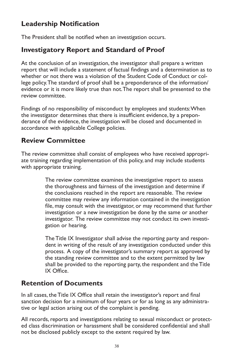# **Leadership Notification**

The President shall be notified when an investigation occurs.

### **Investigatory Report and Standard of Proof**

At the conclusion of an investigation, the investigator shall prepare a written report that will include a statement of factual findings and a determination as to whether or not there was a violation of the Student Code of Conduct or college policy. The standard of proof shall be a preponderance of the information/ evidence or it is more likely true than not. The report shall be presented to the review committee.

Findings of no responsibility of misconduct by employees and students: When the investigator determines that there is insufficient evidence, by a preponderance of the evidence, the investigation will be closed and documented in accordance with applicable College policies.

### **Review Committee**

The review committee shall consist of employees who have received appropriate training regarding implementation of this policy, and may include students with appropriate training.

> The review committee examines the investigative report to assess the thoroughness and fairness of the investigation and determine if the conclusions reached in the report are reasonable. The review committee may review any information contained in the investigation file, may consult with the investigator, or may recommend that further investigation or a new investigation be done by the same or another investigator. The review committee may not conduct its own investigation or hearing.

> The Title IX Investigator shall advise the reporting party and respondent in writing of the result of any investigation conducted under this process. A copy of the investigator's summary report as approved by the standing review committee and to the extent permitted by law shall be provided to the reporting party, the respondent and the Title IX Office.

### **Retention of Documents**

In all cases, the Title IX Office shall retain the investigator's report and final sanction decision for a minimum of four years or for as long as any administrative or legal action arising out of the complaint is pending.

All records, reports and investigations relating to sexual misconduct or protected class discrimination or harassment shall be considered confidential and shall not be disclosed publicly except to the extent required by law.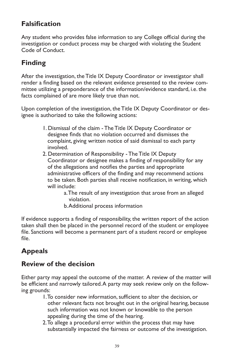# **Falsification**

Any student who provides false information to any College official during the investigation or conduct process may be charged with violating the Student Code of Conduct.

# **Finding**

After the investigation, the Title IX Deputy Coordinator or investigator shall render a finding based on the relevant evidence presented to the review committee utilizing a preponderance of the information/evidence standard, i.e. the facts complained of are more likely true than not.

Upon completion of the investigation, the Title IX Deputy Coordinator or designee is authorized to take the following actions:

- 1. Dismissal of the claim The Title IX Deputy Coordinator or designee finds that no violation occurred and dismisses the complaint, giving written notice of said dismissal to each party involved.
- 2. Determination of Responsibility The Title IX Deputy Coordinator or designee makes a finding of responsibility for any of the allegations and notifies the parties and appropriate administrative officers of the finding and may recommend actions to be taken. Both parties shall receive notification, in writing, which will include:
	- a. The result of any investigation that arose from an alleged violation.
	- b. Additional process information

If evidence supports a finding of responsibility, the written report of the action taken shall then be placed in the personnel record of the student or employee file. Sanctions will become a permanent part of a student record or employee file.

# **Appeals**

### **Review of the decision**

Either party may appeal the outcome of the matter. A review of the matter will be efficient and narrowly tailored. A party may seek review only on the following grounds:

- 1. To consider new information, sufficient to alter the decision, or other relevant facts not brought out in the original hearing, because such information was not known or knowable to the person appealing during the time of the hearing.
- 2. To allege a procedural error within the process that may have substantially impacted the fairness or outcome of the investigation.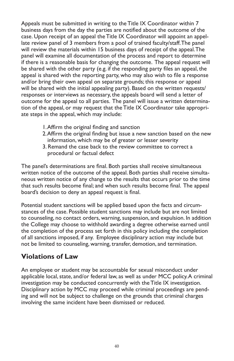Appeals must be submitted in writing to the Title IX Coordinator within 7 business days from the day the parties are notified about the outcome of the case. Upon receipt of an appeal the Title IX Coordinator will appoint an appellate review panel of 3 members from a pool of trained faculty/staff. The panel will review the materials within 15 business days of receipt of the appeal. The panel will examine all documentation of the process and report to determine if there is a reasonable basis for changing the outcome. The appeal request will be shared with the other party (e.g. if the responding party files an appeal, the appeal is shared with the reporting party, who may also wish to file a response and/or bring their own appeal on separate grounds; this response or appeal will be shared with the initial appealing party). Based on the written requests/ responses or interviews as necessary, the appeals board will send a letter of outcome for the appeal to all parties. The panel will issue a written determination of the appeal, or may request that the Title IX Coordinator take appropriate steps in the appeal, which may include:

- 1. Affirm the original finding and sanction
- 2. Affirm the original finding but issue a new sanction based on the new information, which may be of greater or lesser severity
- 3. Remand the case back to the review committee to correct a procedural or factual defect

The panel's determinations are final. Both parties shall receive simultaneous written notice of the outcome of the appeal. Both parties shall receive simultaneous written notice of any change to the results that occurs prior to the time that such results become final; and when such results become final. The appeal board's decision to deny an appeal request is final.

Potential student sanctions will be applied based upon the facts and circumstances of the case. Possible student sanctions may include but are not limited to counseling, no contact orders, warning, suspension, and expulsion. In addition the College may choose to withhold awarding a degree otherwise earned until the completion of the process set forth in this policy including the completion of all sanctions imposed, if any. Employee disciplinary action may include but not be limited to counseling, warning, transfer, demotion, and termination.

### **Violations of Law**

An employee or student may be accountable for sexual misconduct under applicable local, state, and/or federal law, as well as under MCC policy. A criminal investigation may be conducted concurrently with the Title IX investigation. Disciplinary action by MCC may proceed while criminal proceedings are pending and will not be subject to challenge on the grounds that criminal charges involving the same incident have been dismissed or reduced.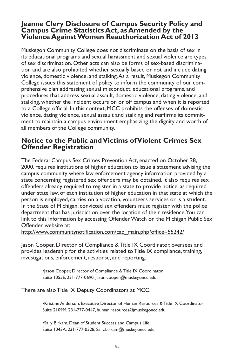#### **Jeanne Clery Disclosure of Campus Security Policy and Campus Crime Statistics Act, as Amended by the Violence Against Women Reauthorization Act of 2013**

Muskegon Community College does not discriminate on the basis of sex in its educational programs and sexual harassment and sexual violence are types of sex discrimination. Other acts can also be forms of sex-based discrimination and are also prohibited whether sexually based or not and include dating violence, domestic violence, and stalking. As a result, Muskegon Community College issues this statement of policy to inform the community of our comprehensive plan addressing sexual misconduct, educational programs, and procedures that address sexual assault, domestic violence, dating violence, and stalking, whether the incident occurs on or off campus and when it is reported to a College official. In this context, MCC prohibits the offenses of domestic violence, dating violence, sexual assault and stalking and reaffirms its commitment to maintain a campus environment emphasizing the dignity and worth of all members of the College community.

### **Notice to the Public and Victims of Violent Crimes Sex Offender Registration**

The Federal Campus Sex Crimes Prevention Act, enacted on October 28, 2000, requires institutions of higher education to issue a statement advising the campus community where law enforcement agency information provided by a state concerning registered sex offenders may be obtained. It also requires sex offenders already required to register in a state to provide notice, as required under state law, of each institution of higher education in that state at which the person is employed, carries on a vocation, volunteers services or is a student. In the State of Michigan, convicted sex offenders must register with the police department that has jurisdiction over the location of their residence. You can link to this information by accessing Offender Watch on the Michigan Public Sex Offender website at:

http://www.communitynotification.com/cap\_main.php?office=55242/

Jason Cooper, Director of Compliance & Title IX Coordinator, oversees and provides leadership for the activities related to Title IX compliance, training, investigations, enforcement, response, and reporting.

> •Jason Cooper, Director of Compliance & Title IX Coordinator Suite 1055E, 231-777-0690, Jason.cooper@muskegoncc.edu

There are also Title IX Deputy Coordinators at MCC:

•Kristine Anderson, Executive Director of Human Resources & Title IX Coordinator Suite 2109M, 231-777-0447, human.resources@muskegoncc.edu

•Sally Birkam, Dean of Student Success and Campus Life Suite 1043A, 231-777-0328, Sally.birkam@muskegoncc.edu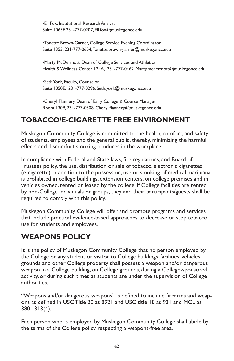•Eli Fox, Institutional Research Analyst Suite 1065F, 231-777-0207, Eli.fox@muskegoncc.edu

•Tonette Brown-Garner, College Service Evening Coordinator Suite 1353, 231-777-0654, Tonette.brown-garner@muskegoncc.edu

•Marty McDermott, Dean of College Services and Athletics Health & Wellness Center 124A, 231-777-0462, Marty.mcdermott@muskegoncc.edu

•Seth York, Faculty, Counselor Suite 1050E, 231-777-0296, Seth.york@muskegoncc.edu

•Cheryl Flannery, Dean of Early College & Course Manager Room 1309, 231-777-0308, Cheryl.flannery@muskegoncc.edu

### **TOBACCO/E-CIGARETTE FREE ENVIRONMENT**

Muskegon Community College is committed to the health, comfort, and safety of students, employees and the general public, thereby, minimizing the harmful effects and discomfort smoking produces in the workplace.

In compliance with Federal and State laws, fire regulations, and Board of Trustees policy, the use, distribution or sale of tobacco, electronic cigarettes (e-cigarette) in addition to the possession, use or smoking of medical marijuana is prohibited in college buildings, extension centers, on college premises and in vehicles owned, rented or leased by the college. If College facilities are rented by non-College individuals or groups, they and their participants/guests shall be required to comply with this policy.

Muskegon Community College will offer and promote programs and services that include practical evidence-based approaches to decrease or stop tobacco use for students and employees.

### **WEAPONS POLICY**

It is the policy of Muskegon Community College that no person employed by the College or any student or visitor to College buildings, facilities, vehicles, grounds and other College property shall possess a weapon and/or dangerous weapon in a College building, on College grounds, during a College-sponsored activity, or during such times as students are under the supervision of College authorities.

"Weapons and/or dangerous weapons" is defined to include firearms and weapons as defined in USC Title 20 as 8921 and USC title 18 as 921 and MCL as 380.1313(4).

Each person who is employed by Muskegon Community College shall abide by the terms of the College policy respecting a weapons-free area.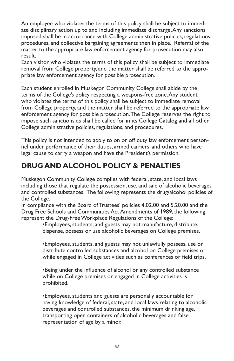An employee who violates the terms of this policy shall be subject to immediate disciplinary action up to and including immediate discharge. Any sanctions imposed shall be in accordance with College administrative policies, regulations, procedures, and collective bargaining agreements then in place. Referral of the matter to the appropriate law enforcement agency for prosecution may also result.

Each visitor who violates the terms of this policy shall be subject to immediate removal from College property, and the matter shall be referred to the appropriate law enforcement agency for possible prosecution.

Each student enrolled in Muskegon Community College shall abide by the terms of the College's policy respecting a weapons-free zone. Any student who violates the terms of this policy shall be subject to immediate removal from College property, and the matter shall be referred to the appropriate law enforcement agency for possible prosecution. The College reserves the right to impose such sanctions as shall be called for in its College Catalog and all other College administrative policies, regulations, and procedures.

This policy is not intended to apply to on or off duty law enforcement personnel under performance of their duties, armed carriers, and others who have legal cause to carry a weapon and have the President's permission.

# **DRUG AND ALCOHOL POLICY & PENALTIES**

Muskegon Community College complies with federal, state, and local laws including those that regulate the possession, use, and sale of alcoholic beverages and controlled substances. The following represents the drug/alcohol policies of the College.

In compliance with the Board of Trustees' policies 4.02.00 and 5.20.00 and the Drug Free Schools and Communities Act Amendments of 1989, the following represent the Drug-Free Workplace Regulations of the College:

•Employees, students, and guests may not manufacture, distribute, dispense, possess or use alcoholic beverages on College premises.

•Employees, students, and guests may not unlawfully possess, use or distribute controlled substances and alcohol on College premises or while engaged in College activities such as conferences or field trips.

•Being under the influence of alcohol or any controlled substance while on College premises or engaged in College activities is prohibited.

•Employees, students and guests are personally accountable for having knowledge of federal, state, and local laws relating to alcoholic beverages and controlled substances, the minimum drinking age, transporting open containers of alcoholic beverages and false representation of age by a minor.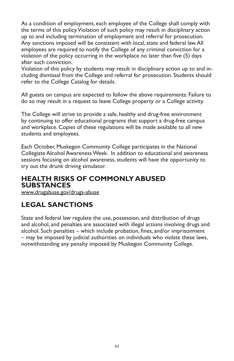As a condition of employment, each employee of the College shall comply with the terms of this policy. Violation of such policy may result in disciplinary action up to and including termination of employment and referral for prosecution. Any sanctions imposed will be consistent with local, state and federal law. All employees are required to notify the College of any criminal conviction for a violation of the policy occurring in the workplace no later than five (5) days after such conviction.

Violation of this policy by students may result in disciplinary action up to and including dismissal from the College and referral for prosecution. Students should refer to the College Catalog for details.

All guests on campus are expected to follow the above requirements. Failure to do so may result in a request to leave College property or a College activity.

The College will strive to provide a safe, healthy and drug-free environment by continuing to offer educational programs that support a drug-free campus and workplace. Copies of these regulations will be made available to all new students and employees.

Each October, Muskegon Community College participates in the National Collegiate Alcohol Awareness Week. In addition to educational and awareness sessions focusing on alcohol awareness, students will have the opportunity to try out the drunk driving simulator.

### **HEALTH RISKS OF COMMONLY ABUSED SUBSTANCES**

www.drugabuse.gov/drugs-abuse

# **LEGAL SANCTIONS**

State and federal law regulate the use, possession, and distribution of drugs and alcohol, and penalties are associated with illegal actions involving drugs and alcohol. Such penalties – which include probation, fines, and/or imprisonment – may be imposed by judicial authorities on individuals who violate these laws, notwithstanding any penalty imposed by Muskegon Community College.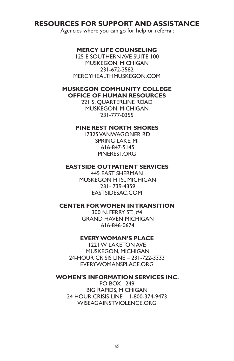### **RESOURCES FOR SUPPORT AND ASSISTANCE**

Agencies where you can go for help or referral:

#### **MERCY LIFE COUNSELING**

125 E SOUTHERN AVE SUITE 100 MUSKEGON, MICHIGAN 231-672-3582 MERCYHEALTHMUSKEGON.COM

#### **MUSKEGON COMMUNITY COLLEGE OFFICE OF HUMAN RESOURCES**

221 S. QUARTERLINE ROAD MUSKEGON, MICHIGAN 231-777-0355

#### **PINE REST NORTH SHORES**

17325 VANWAGONER RD SPRING LAKE, MI 616-847-5145 **PINERESTORG** 

#### **EASTSIDE OUTPATIENT SERVICES**

445 EAST SHERMAN MUSKEGON HTS., MICHIGAN 231- 739-4359 EASTSIDESAC.COM

#### **CENTER FOR WOMEN IN TRANSITION**

300 N. FERRY ST., #4 GRAND HAVEN MICHIGAN 616-846-0674

#### **EVERY WOMAN'S PLACE**

1221 W LAKETON AVE MUSKEGON, MICHIGAN 24-HOUR CRISIS LINE – 231-722-3333 EVERYWOMANSPLACE.ORG

#### **WOMEN'S INFORMATION SERVICES INC.**

PO BOX 1249 BIG RAPIDS, MICHIGAN 24 HOUR CRISIS LINE – 1-800-374-9473 WISEAGAINSTVIOLENCE.ORG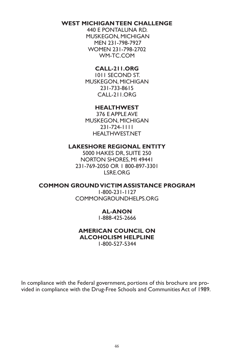#### **WEST MICHIGAN TEEN CHALLENGE**

440 E PONTALUNA RD. MUSKEGON, MICHIGAN MEN 231-798-7927 WOMEN 231-798-2702 WM-TC.COM

#### **CALL-211.ORG**

1011 SECOND ST. MUSKEGON, MICHIGAN 231-733-8615 CALL-211.ORG

#### **HEALTHWEST**

376 E APPLE AVE MUSKEGON, MICHIGAN 231-724-1111 HEALTHWEST.NET

#### **LAKESHORE REGIONAL ENTITY**

5000 HAKES DR, SUITE 250 NORTON SHORES, MI 49441 231-769-2050 OR 1 800-897-3301 LSRE.ORG

#### **COMMON GROUND VICTIM ASSISTANCE PROGRAM**

1-800-231-1127 COMMONGROUNDHELPS.ORG

#### **AL-ANON**

1-888-425-2666

#### **AMERICAN COUNCIL ON ALCOHOLISM HELPLINE**

1-800-527-5344

In compliance with the Federal government, portions of this brochure are provided in compliance with the Drug-Free Schools and Communities Act of 1989.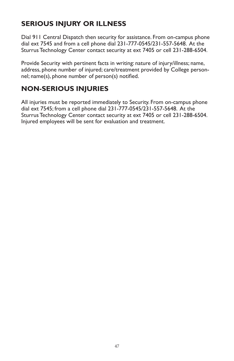# **SERIOUS INJURY OR ILLNESS**

Dial 911 Central Dispatch then security for assistance. From on-campus phone dial ext 7545 and from a cell phone dial 231-777-0545/231-557-5648. At the Sturrus Technology Center contact security at ext 7405 or cell 231-288-6504.

Provide Security with pertinent facts in writing: nature of injury/illness; name, address, phone number of injured; care/treatment provided by College personnel; name(s), phone number of person(s) notified.

# **NON-SERIOUS INJURIES**

All injuries must be reported immediately to Security. From on-campus phone dial ext 7545; from a cell phone dial 231-777-0545/231-557-5648. At the Sturrus Technology Center contact security at ext 7405 or cell 231-288-6504. Injured employees will be sent for evaluation and treatment.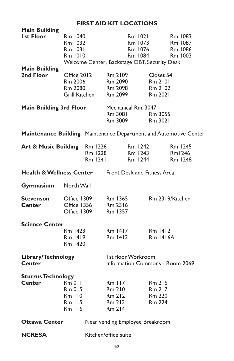### **FIRST AID KIT LOCATIONS**

| <b>Main Building</b><br><b>Ist Floor</b>                          | Rm 1040<br>Rm 1032<br>Rm 1031<br>Rm 1010            |                                                       |                                                              | Rm 1021<br>Rm 1073<br>Rm 1076<br>Rm 1084 | Welcome Center, Backstage OBT, Security Desk       | Rm 1083<br>Rm 1087<br>Rm 1086<br>Rm 1003 |
|-------------------------------------------------------------------|-----------------------------------------------------|-------------------------------------------------------|--------------------------------------------------------------|------------------------------------------|----------------------------------------------------|------------------------------------------|
| <b>Main Building</b><br>2nd Floor                                 | Office 2012<br>Rm 2006<br>Rm 2080<br>Grill Kitchen  |                                                       | Rm 2109<br>Rm 2090<br>Rm 2098<br>Rm 2099                     |                                          | Closet 54<br>Rm 2101<br>Rm 2102<br>Rm 2021         |                                          |
| <b>Main Building 3rd Floor</b>                                    |                                                     |                                                       | Mechanical Rm. 3047<br>Rm 3081<br>Rm 3009                    |                                          | Rm 3055<br>Rm 3021                                 |                                          |
| Maintenance Building Maintenance Department and Automotive Center |                                                     |                                                       |                                                              |                                          |                                                    |                                          |
| Art & Music Building Rm 1226                                      |                                                     | Rm 1228<br>Rm 1241                                    |                                                              | Rm 1242<br>Rm 1243<br>Rm 1244            |                                                    | Rm 1245<br>Rm1246<br>Rm 1248             |
| <b>Health &amp; Wellness Center</b> Front Desk and Fitness Area   |                                                     |                                                       |                                                              |                                          |                                                    |                                          |
| Gymnasium                                                         | North Wall                                          |                                                       |                                                              |                                          |                                                    |                                          |
| <b>Stevenson</b><br><b>Center</b>                                 | Office 1309<br>Office 1356<br>Office 1309           |                                                       | Rm 1365<br>Rm 2316<br>Rm 1357                                |                                          |                                                    | Rm 2319/Kitchen                          |
| <b>Science Center</b>                                             | Rm 1423<br>Rm 1419<br>Rm 1420                       |                                                       | Rm 1417<br>Rm 1413                                           |                                          | Rm 1412<br><b>Rm 1416A</b>                         |                                          |
| Library/Technology<br><b>Center</b>                               |                                                     | 1st floor Workroom<br>Information Commons - Room 2069 |                                                              |                                          |                                                    |                                          |
| <b>Sturrus Technology</b><br><b>Center</b>                        | $Rm$ 011<br>Rm 015<br>Rm II0<br>$Rm$ $115$<br>Rm116 |                                                       | <b>Rm 117</b><br>Rm 210<br>Rm 212<br>Rm 213<br><b>Rm 214</b> |                                          | Rm 216<br>Rm 217<br><b>Rm 220</b><br><b>Rm 224</b> |                                          |
| <b>Ottawa Center</b>                                              |                                                     |                                                       |                                                              |                                          | Near vending Employee Breakroom                    |                                          |
| <b>NCRESA</b>                                                     |                                                     |                                                       | Kitchen/office suite                                         |                                          |                                                    |                                          |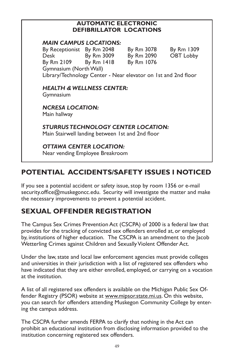#### **AUTOMATIC ELECTRONIC DEFIBRILLATOR LOCATIONS**

### *MAIN CAMPUS LOCATIONS:* By Receptionist By Rm 2048 By Rm 3078 By Rm 1309 Desk By Rm 3009 By Rm 2090 OBT Lobby By Rm 2109 By Rm 1418 By Rm 1076 Gymnasium (North Wall) Library/Technology Center - Near elevator on 1st and 2nd floor

*HEALTH & WELLNESS CENTER:* Gymnasium

*NCRESA LOCATION:* Main hallway

*STURRUS TECHNOLOGY CENTER LOCATION:* Main Stairwell landing between 1st and 2nd floor

*OTTAWA CENTER LOCATION:* Near vending Employee Breakroom

# **POTENTIAL ACCIDENTS/SAFETY ISSUES I NOTICED**

If you see a potential accident or safety issue, stop by room 1356 or e-mail security.office@muskegoncc.edu. Security will investigate the matter and make the necessary improvements to prevent a potential accident.

# **SEXUAL OFFENDER REGISTRATION**

The Campus Sex Crimes Prevention Act (CSCPA) of 2000 is a federal law that provides for the tracking of convicted sex offenders enrolled at, or employed by, institutions of higher education. The CSCPA is an amendment to the Jacob Wetterling Crimes against Children and Sexually Violent Offender Act.

Under the law, state and local law enforcement agencies must provide colleges and universities in their jurisdiction with a list of registered sex offenders who have indicated that they are either enrolled, employed, or carrying on a vocation at the institution.

A list of all registered sex offenders is available on the Michigan Public Sex Offender Registry (PSOR) website at www.mipsor.state.mi.us. On this website, you can search for offenders attending Muskegon Community College by entering the campus address.

The CSCPA further amends FERPA to clarify that nothing in the Act can prohibit an educational institution from disclosing information provided to the institution concerning registered sex offenders.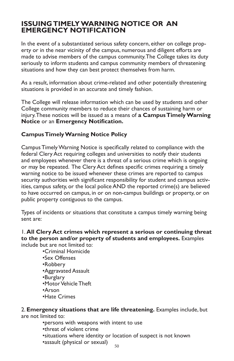### **ISSUING TIMELY WARNING NOTICE OR AN EMERGENCY NOTIFICATION**

In the event of a substantiated serious safety concern, either on college property or in the near vicinity of the campus, numerous and diligent efforts are made to advise members of the campus community. The College takes its duty seriously to inform students and campus community members of threatening situations and how they can best protect themselves from harm.

As a result, information about crime-related and other potentially threatening situations is provided in an accurate and timely fashion.

The College will release information which can be used by students and other College community members to reduce their chances of sustaining harm or injury. These notices will be issued as a means of **a Campus Timely Warning Notice** or an **Emergency Notification.**

#### **Campus Timely Warning Notice Policy**

Campus Timely Warning Notice is specifically related to compliance with the federal Clery Act requiring colleges and universities to notify their students and employees whenever there is a threat of a serious crime which is ongoing or may be repeated. The Clery Act defines specific crimes requiring a timely warning notice to be issued whenever these crimes are reported to campus security authorities with significant responsibility for student and campus activities, campus safety, or the local police AND the reported crime(s) are believed to have occurred on campus, in or on non-campus buildings or property, or on public property contiguous to the campus.

Types of incidents or situations that constitute a campus timely warning being sent are:

#### 1. **All Clery Act crimes which represent a serious or continuing threat to the person and/or property of students and employees.** Examples include but are not limited to:

•Criminal Homicide

- •Sex Offenses
- •Robbery
- •Aggravated Assault
- •Burglary
- •Motor Vehicle Theft
- •Arson
- •Hate Crimes

2. **Emergency situations that are life threatening.** Examples include, but are not limited to:

•persons with weapons with intent to use

- •threat of violent crime
- •situations where identity or location of suspect is not known
- •assault (physical or sexual)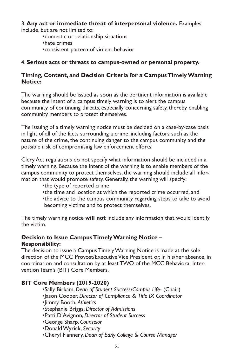3. **Any act or immediate threat of interpersonal violence.** Examples include, but are not limited to:

- •domestic or relationship situations
- •hate crimes
- •consistent pattern of violent behavior

#### 4. **Serious acts or threats to campus-owned or personal property.**

#### **Timing, Content, and Decision Criteria for a Campus Timely Warning Notice:**

The warning should be issued as soon as the pertinent information is available because the intent of a campus timely warning is to alert the campus community of continuing threats, especially concerning safety, thereby enabling community members to protect themselves.

The issuing of a timely warning notice must be decided on a case-by-case basis in light of all of the facts surrounding a crime, including factors such as the nature of the crime, the continuing danger to the campus community and the possible risk of compromising law enforcement efforts.

Clery Act regulations do not specify what information should be included in a timely warning. Because the intent of the warning is to enable members of the campus community to protect themselves, the warning should include all information that would promote safety. Generally, the warning will specify:

#### •the type of reported crime

- •the time and location at which the reported crime occurred, and
- •the advice to the campus community regarding steps to take to avoid becoming victims and to protect themselves.

The timely warning notice **will not** include any information that would identify the victim.

#### **Decision to Issue Campus Timely Warning Notice – Responsibility:**

The decision to issue a Campus Timely Warning Notice is made at the sole direction of the MCC Provost/Executive Vice President or, in his/her absence, in coordination and consultation by at least TWO of the MCC Behavioral Intervention Team's (BIT) Core Members.

#### **BIT Core Members (2019-2020)**

- •Sally Birkam, *Dean of Student Success/Campus Life* (Chair)
- •Jason Cooper, *Director of Compliance & Title IX Coordinator*
- •Jimmy Booth, *Athletics*
- •Stephanie Briggs, *Director of Admissions*
- •Patti D'Avignon, *Director of Student Success*
- •George Sharp, *Counselor*
- •Donald Wyrick, *Security*
- •Cheryl Flannery, *Dean of Early College & Course Manager*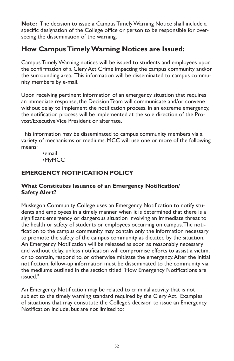**Note:** The decision to issue a Campus Timely Warning Notice shall include a specific designation of the College office or person to be responsible for overseeing the dissemination of the warning.

### **How Campus Timely Warning Notices are Issued:**

Campus Timely Warning notices will be issued to students and employees upon the confirmation of a Clery Act Crime impacting the campus community and/or the surrounding area. This information will be disseminated to campus community members by e-mail.

Upon receiving pertinent information of an emergency situation that requires an immediate response, the Decision Team will communicate and/or convene without delay to implement the notification process. In an extreme emergency, the notification process will be implemented at the sole direction of the Provost/Executive Vice President or alternate.

This information may be disseminated to campus community members via a variety of mechanisms or mediums. MCC will use one or more of the following means:

•email •MyMCC

### **EMERGENCY NOTIFICATION POLICY**

#### **What Constitutes Issuance of an Emergency Notification/ Safety Alert?**

Muskegon Community College uses an Emergency Notification to notify students and employees in a timely manner when it is determined that there is a significant emergency or dangerous situation involving an immediate threat to the health or safety of students or employees occurring on campus. The notification to the campus community may contain only the information necessary to promote the safety of the campus community as dictated by the situation. An Emergency Notification will be released as soon as reasonably necessary and without delay, unless notification will compromise efforts to assist a victim, or to contain, respond to, or otherwise mitigate the emergency. After the initial notification, follow-up information must be disseminated to the community via the mediums outlined in the section titled "How Emergency Notifications are issued."

An Emergency Notification may be related to criminal activity that is not subject to the timely warning standard required by the Clery Act. Examples of situations that may constitute the College's decision to issue an Emergency Notification include, but are not limited to: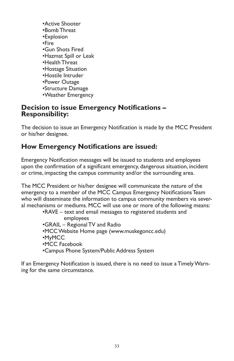•Active Shooter •Bomb Threat •Explosion •Fire •Gun Shots Fired •Hazmat Spill or Leak •Health Threat •Hostage Situation •Hostile Intruder •Power Outage •Structure Damage •Weather Emergency

### **Decision to issue Emergency Notifications – Responsibility:**

The decision to issue an Emergency Notification is made by the MCC President or his/her designee.

### **How Emergency Notifications are issued:**

Emergency Notification messages will be issued to students and employees upon the confirmation of a significant emergency, dangerous situation, incident or crime, impacting the campus community and/or the surrounding area.

The MCC President or his/her designee will communicate the nature of the emergency to a member of the MCC Campus Emergency Notifications Team who will disseminate the information to campus community members via several mechanisms or mediums. MCC will use one or more of the following means:

•RAVE – text and email messages to registered students and employees •GRAIL – Regional TV and Radio •MCC Website Home page (www.muskegoncc.edu) •MyMCC •MCC Facebook •Campus Phone System/Public Address System

If an Emergency Notification is issued, there is no need to issue a Timely Warning for the same circumstance.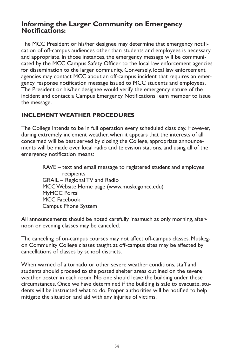### **Informing the Larger Community on Emergency Notifications:**

The MCC President or his/her designee may determine that emergency notification of off-campus audiences other than students and employees is necessary and appropriate. In those instances, the emergency message will be communicated by the MCC Campus Safety Officer to the local law enforcement agencies for dissemination to the larger community. Conversely, local law enforcement agencies may contact MCC about an off-campus incident that requires an emergency response notification message issued to MCC students and employees. The President or his/her designee would verify the emergency nature of the incident and contact a Campus Emergency Notifications Team member to issue the message.

### **INCLEMENT WEATHER PROCEDURES**

The College intends to be in full operation every scheduled class day. However, during extremely inclement weather, when it appears that the interests of all concerned will be best served by closing the College, appropriate announcements will be made over local radio and television stations, and using all of the emergency notification means:

> RAVE – text and email message to registered student and employee recipients GRAIL – Regional TV and Radio MCC Website Home page (www.muskegoncc.edu) MyMCC Portal MCC Facebook Campus Phone System

All announcements should be noted carefully inasmuch as only morning, afternoon or evening classes may be canceled.

The canceling of on-campus courses may not affect off-campus classes. Muskegon Community College classes taught at off-campus sites may be affected by cancellations of classes by school districts.

When warned of a tornado or other severe weather conditions, staff and students should proceed to the posted shelter areas outlined on the severe weather poster in each room. No one should leave the building under these circumstances. Once we have determined if the building is safe to evacuate, students will be instructed what to do. Proper authorities will be notified to help mitigate the situation and aid with any injuries of victims.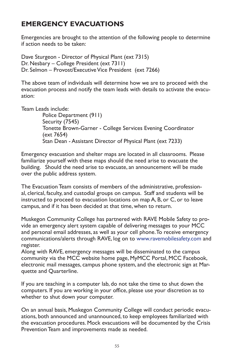# **EMERGENCY EVACUATIONS**

Emergencies are brought to the attention of the following people to determine if action needs to be taken:

Dave Sturgeon - Director of Physical Plant (ext 7315) Dr. Nesbary – College President (ext 7311) Dr. Selmon – Provost/Executive Vice President (ext 7266)

The above team of individuals will determine how we are to proceed with the evacuation process and notify the team leads with details to activate the evacuation:

Team Leads include:

Police Department (911) Security (7545) Tonette Brown-Garner - College Services Evening Coordinator (ext 7654) Stan Dean - Assistant Director of Physical Plant (ext 7233)

Emergency evacuation and shelter maps are located in all classrooms. Please familiarize yourself with these maps should the need arise to evacuate the building. Should the need arise to evacuate, an announcement will be made over the public address system.

The Evacuation Team consists of members of the administrative, professional, clerical, faculty, and custodial groups on campus. Staff and students will be instructed to proceed to evacuation locations on map A, B, or C, or to leave campus, and if it has been decided at that time, when to return.

Muskegon Community College has partnered with RAVE Mobile Safety to provide an emergency alert system capable of delivering messages to your MCC and personal email addresses, as well as your cell phone. To receive emergency communications/alerts through RAVE, log on to www.ravemobilesafety.com and register.

Along with RAVE, emergency messages will be disseminated to the campus community via the MCC website home page, MyMCC Portal, MCC Facebook, electronic mail messages, campus phone system, and the electronic sign at Marquette and Quarterline.

If you are teaching in a computer lab, do not take the time to shut down the computers. If you are working in your office, please use your discretion as to whether to shut down your computer.

On an annual basis, Muskegon Community College will conduct periodic evacuations, both announced and unannounced, to keep employees familiarized with the evacuation procedures. Mock evacuations will be documented by the Crisis Prevention Team and improvements made as needed.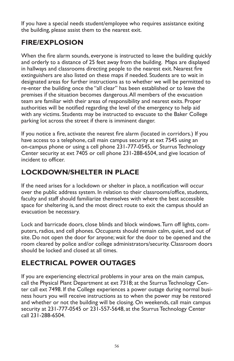If you have a special needs student/employee who requires assistance exiting the building, please assist them to the nearest exit.

# **FIRE/EXPLOSION**

When the fire alarm sounds, everyone is instructed to leave the building quickly and orderly to a distance of 25 feet away from the building. Maps are displayed in hallways and classrooms directing people to the nearest exit. Nearest fire extinguishers are also listed on these maps if needed. Students are to wait in designated areas for further instructions as to whether we will be permitted to re-enter the building once the "all clear" has been established or to leave the premises if the situation becomes dangerous. All members of the evacuation team are familiar with their areas of responsibility and nearest exits. Proper authorities will be notified regarding the level of the emergency to help aid with any victims. Students may be instructed to evacuate to the Baker College parking lot across the street if there is imminent danger.

If you notice a fire, activate the nearest fire alarm (located in corridors.) If you have access to a telephone, call main campus security at ext 7545 using an on-campus phone or using a cell phone 231-777-0545, or Sturrus Technology Center security at ext 7405 or cell phone 231-288-6504, and give location of incident to officer.

# **LOCKDOWN/SHELTER IN PLACE**

If the need arises for a lockdown or shelter in place, a notification will occur over the public address system. In relation to their classrooms/office, students, faculty and staff should familiarize themselves with where the best accessible space for sheltering is, and the most direct route to exit the campus should an evacuation be necessary.

Lock and barricade doors, close blinds and block windows. Turn off lights, computers, radios, and cell phones. Occupants should remain calm, quiet, and out of site. Do not open the door for anyone; wait for the door to be opened and the room cleared by police and/or college administrators/security. Classroom doors should be locked and closed at all times.

# **ELECTRICAL POWER OUTAGES**

If you are experiencing electrical problems in your area on the main campus, call the Physical Plant Department at ext 7318; at the Sturrus Technology Center call ext 7498. If the College experiences a power outage during normal business hours you will receive instructions as to when the power may be restored and whether or not the building will be closing. On weekends, call main campus security at 231-777-0545 or 231-557-5648, at the Sturrus Technology Center call 231-288-6504.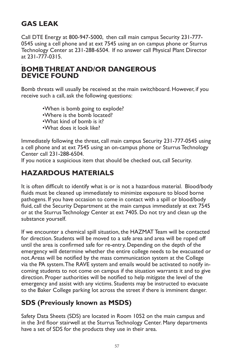### **GAS LEAK**

Call DTE Energy at 800-947-5000, then call main campus Security 231-777- 0545 using a cell phone and at ext 7545 using an on campus phone or Sturrus Technology Center at 231-288-6504. If no answer call Physical Plant Director at 231-777-0315.

#### . **BOMB THREAT AND/OR DANGEROUS DEVICE FOUND**

Bomb threats will usually be received at the main switchboard. However, if you receive such a call, ask the following questions:

> •When is bomb going to explode? •Where is the bomb located? •What kind of bomb is it? •What does it look like?

Immediately following the threat, call main campus Security 231-777-0545 using a cell phone and at ext 7545 using an on-campus phone or Sturrus Technology Center call 231-288-6504.

If you notice a suspicious item that should be checked out, call Security.

### **HAZARDOUS MATERIALS**

It is often difficult to identify what is or is not a hazardous material. Blood/body fluids must be cleaned up immediately to minimize exposure to blood borne pathogens. If you have occasion to come in contact with a spill or blood/body fluid, call the Security Department at the main campus immediately at ext 7545 or at the Sturrus Technology Center at ext 7405. Do not try and clean up the substance yourself.

If we encounter a chemical spill situation, the HAZMAT Team will be contacted for direction. Students will be moved to a safe area and area will be roped off until the area is confirmed safe for re-entry. Depending on the depth of the emergency will determine whether the entire college needs to be evacuated or not. Areas will be notified by the mass communication system at the College via the PA system. The RAVE system and emails would be activated to notify incoming students to not come on campus if the situation warrants it and to give direction. Proper authorities will be notified to help mitigate the level of the emergency and assist with any victims. Students may be instructed to evacuate to the Baker College parking lot across the street if there is imminent danger.

### **SDS (Previously known as MSDS)**

Safety Data Sheets (SDS) are located in Room 1052 on the main campus and in the 3rd floor stairwell at the Sturrus Technology Center. Many departments have a set of SDS for the products they use in their area.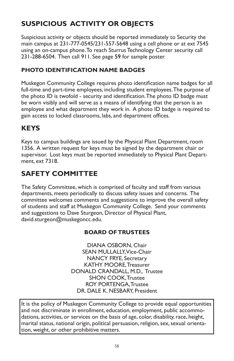# **SUSPICIOUS ACTIVITY OR OBJECTS**

Suspicious activity or objects should be reported immediately to Security the main campus at 231-777-0545/231-557-5648 using a cell phone or at ext 7545 using an on-campus phone. To reach Sturrus Technology Center security call 231-288-6504. Then call 911. See page 59 for sample poster.

### **PHOTO IDENTIFICATION NAME BADGES**

Muskegon Community College requires photo identification name badges for all full-time and part-time employees, including student employees. The purpose of the photo ID is twofold - security and identification. The photo ID badge must be worn visibly and will serve as a means of identifying that the person is an employee and what department they work in. A photo ID badge is required to gain access to locked classrooms, labs, and department offices.

### **KEYS**

Keys to campus buildings are issued by the Physical Plant Department, room 1356. A written request for keys must be signed by the department chair or supervisor. Lost keys must be reported immediately to Physical Plant Department, ext 7318.

### **SAFETY COMMITTEE**

The Safety Committee, which is comprised of faculty and staff from various departments, meets periodically to discuss safety issues and concerns. The committee welcomes comments and suggestions to improve the overall safety of students and staff at Muskegon Community College. Send your comments and suggestions to Dave Sturgeon, Director of Physical Plant, david.sturgeon@muskegoncc.edu.

#### **BOARD OF TRUSTEES**

DIANA OSBORN, Chair SEAN MULLALLY, Vice-Chair NANCY FRYE, Secretary KATHY MOORE, Treasurer DONALD CRANDALL, M.D., Trustee SHON COOK, Trustee ROY PORTENGA, Trustee DR. DALE K. NESBARY, President

It is the policy of Muskegon Community College to provide equal opportunities and not discriminate in enrollment, education, employment, public accommodations, activities, or services on the basis of age, color, disability, race, height, marital status, national origin, political persuasion, religion, sex, sexual orientation, weight, or other prohibitive matters.